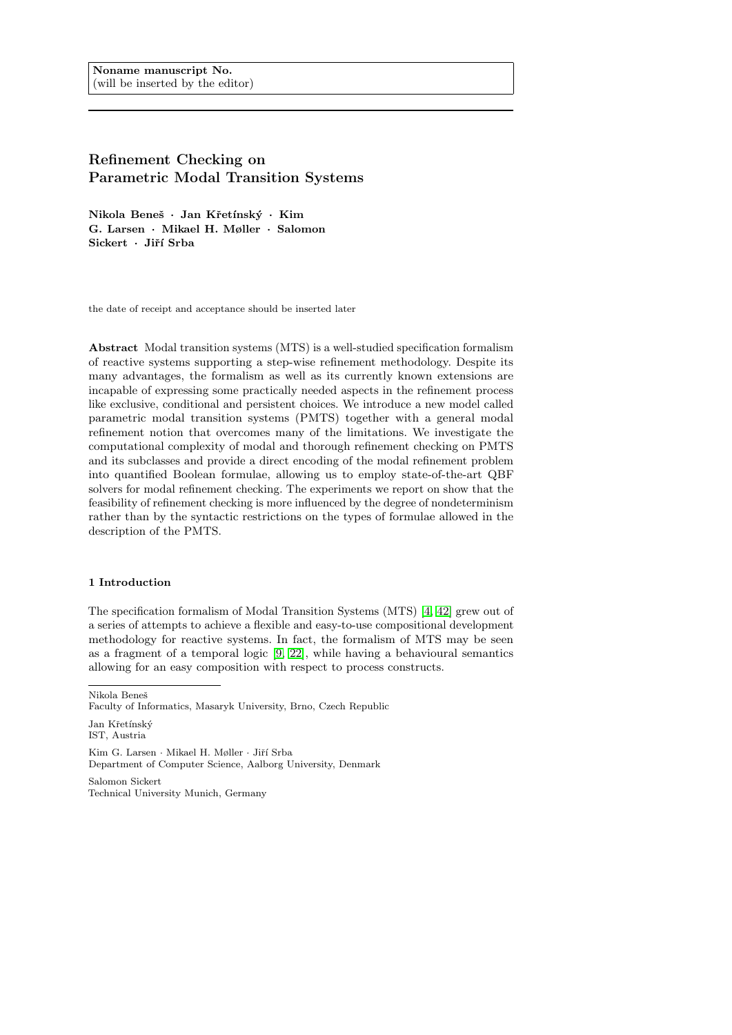# Refinement Checking on Parametric Modal Transition Systems

Nikola Beneš · Jan Křetínský · Kim G. Larsen · Mikael H. Møller · Salomon Sickert · Jiří Srba

the date of receipt and acceptance should be inserted later

Abstract Modal transition systems (MTS) is a well-studied specification formalism of reactive systems supporting a step-wise refinement methodology. Despite its many advantages, the formalism as well as its currently known extensions are incapable of expressing some practically needed aspects in the refinement process like exclusive, conditional and persistent choices. We introduce a new model called parametric modal transition systems (PMTS) together with a general modal refinement notion that overcomes many of the limitations. We investigate the computational complexity of modal and thorough refinement checking on PMTS and its subclasses and provide a direct encoding of the modal refinement problem into quantified Boolean formulae, allowing us to employ state-of-the-art QBF solvers for modal refinement checking. The experiments we report on show that the feasibility of refinement checking is more influenced by the degree of nondeterminism rather than by the syntactic restrictions on the types of formulae allowed in the description of the PMTS.

#### 1 Introduction

The specification formalism of Modal Transition Systems (MTS) [\[4,](#page-28-0) [42\]](#page-30-0) grew out of a series of attempts to achieve a flexible and easy-to-use compositional development methodology for reactive systems. In fact, the formalism of MTS may be seen as a fragment of a temporal logic [\[9,](#page-29-0) [22\]](#page-29-1), while having a behavioural semantics allowing for an easy composition with respect to process constructs.

Nikola Beneˇs

Kim G. Larsen · Mikael H. Møller · Jiří Srba Department of Computer Science, Aalborg University, Denmark

Salomon Sickert Technical University Munich, Germany

Faculty of Informatics, Masaryk University, Brno, Czech Republic

Jan Křetínský IST, Austria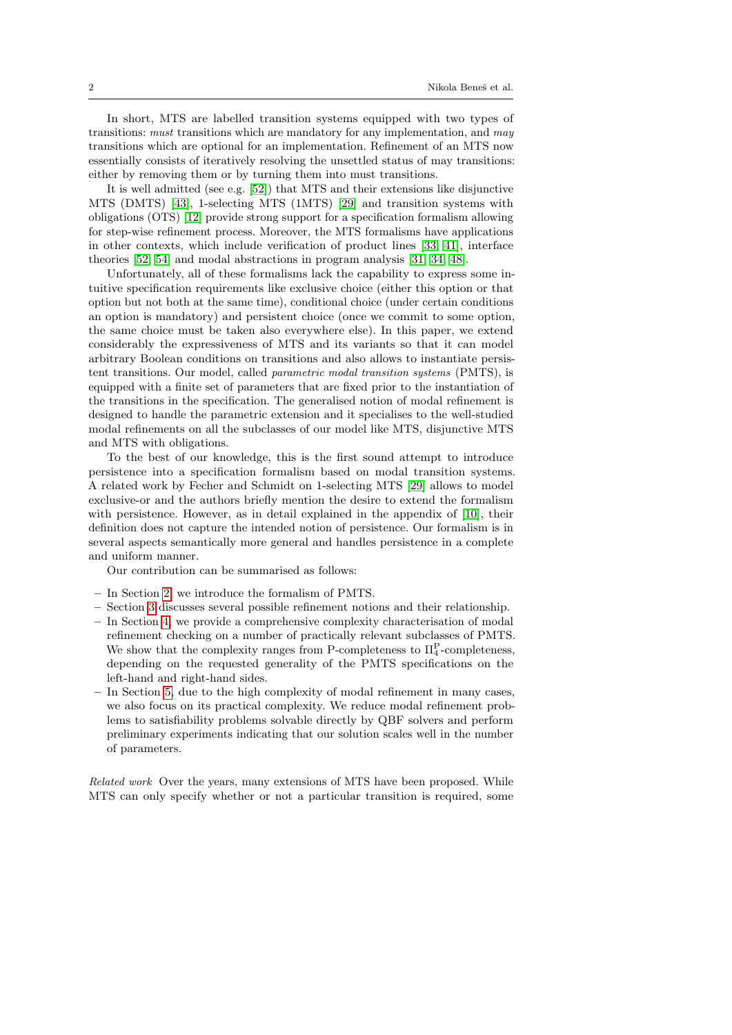In short, MTS are labelled transition systems equipped with two types of transitions: *must* transitions which are mandatory for any implementation, and *may* transitions which are optional for an implementation. Refinement of an MTS now essentially consists of iteratively resolving the unsettled status of may transitions: either by removing them or by turning them into must transitions.

It is well admitted (see e.g. [\[52\]](#page-31-0)) that MTS and their extensions like disjunctive MTS (DMTS) [\[43\]](#page-30-1), 1-selecting MTS (1MTS) [\[29\]](#page-30-2) and transition systems with obligations (OTS) [\[12\]](#page-29-2) provide strong support for a specification formalism allowing for step-wise refinement process. Moreover, the MTS formalisms have applications in other contexts, which include verification of product lines [\[33,](#page-30-3) [41\]](#page-30-4), interface theories [\[52,](#page-31-0) [54\]](#page-31-1) and modal abstractions in program analysis [\[31,](#page-30-5) [34,](#page-30-6) [48\]](#page-31-2).

Unfortunately, all of these formalisms lack the capability to express some intuitive specification requirements like exclusive choice (either this option or that option but not both at the same time), conditional choice (under certain conditions an option is mandatory) and persistent choice (once we commit to some option, the same choice must be taken also everywhere else). In this paper, we extend considerably the expressiveness of MTS and its variants so that it can model arbitrary Boolean conditions on transitions and also allows to instantiate persistent transitions. Our model, called parametric modal transition systems (PMTS), is equipped with a finite set of parameters that are fixed prior to the instantiation of the transitions in the specification. The generalised notion of modal refinement is designed to handle the parametric extension and it specialises to the well-studied modal refinements on all the subclasses of our model like MTS, disjunctive MTS and MTS with obligations.

To the best of our knowledge, this is the first sound attempt to introduce persistence into a specification formalism based on modal transition systems. A related work by Fecher and Schmidt on 1-selecting MTS [\[29\]](#page-30-2) allows to model exclusive-or and the authors briefly mention the desire to extend the formalism with persistence. However, as in detail explained in the appendix of [\[10\]](#page-29-3), their definition does not capture the intended notion of persistence. Our formalism is in several aspects semantically more general and handles persistence in a complete and uniform manner.

Our contribution can be summarised as follows:

- In Section [2,](#page-2-0) we introduce the formalism of PMTS.
- Section [3](#page-8-0) discusses several possible refinement notions and their relationship.
- In Section [4,](#page-12-0) we provide a comprehensive complexity characterisation of modal refinement checking on a number of practically relevant subclasses of PMTS. We show that the complexity ranges from P-completeness to  $\Pi_4^{\text{P}}$ -completeness, depending on the requested generality of the PMTS specifications on the left-hand and right-hand sides.
- In Section [5,](#page-22-0) due to the high complexity of modal refinement in many cases, we also focus on its practical complexity. We reduce modal refinement problems to satisfiability problems solvable directly by QBF solvers and perform preliminary experiments indicating that our solution scales well in the number of parameters.

Related work Over the years, many extensions of MTS have been proposed. While MTS can only specify whether or not a particular transition is required, some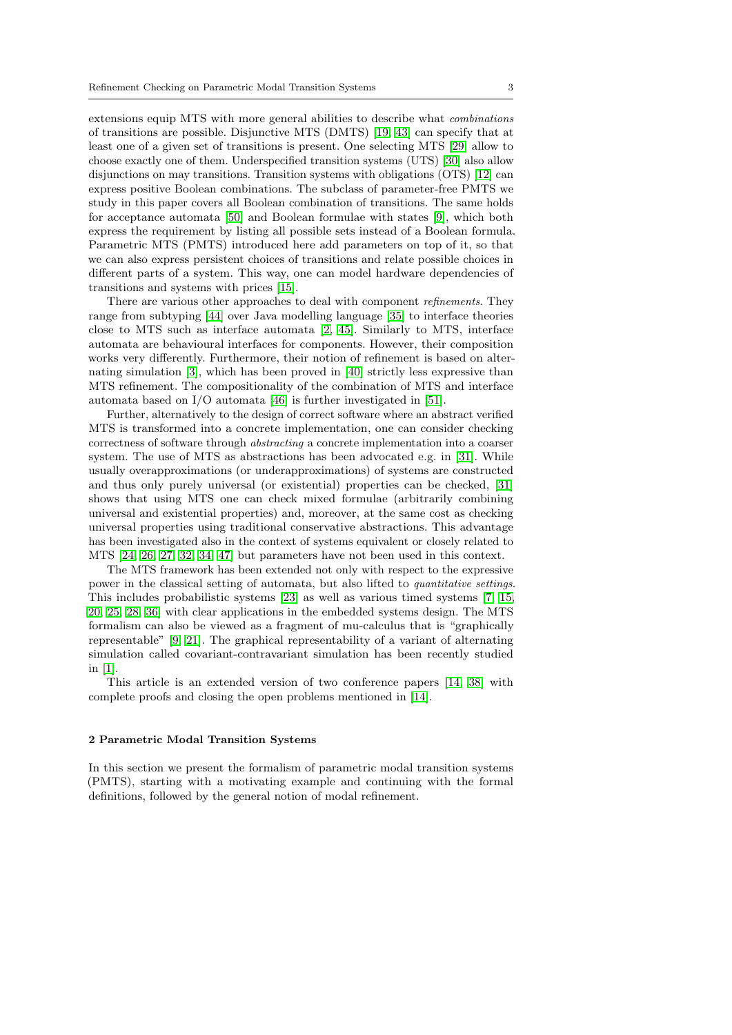extensions equip MTS with more general abilities to describe what combinations of transitions are possible. Disjunctive MTS (DMTS) [\[19,](#page-29-4) [43\]](#page-30-1) can specify that at least one of a given set of transitions is present. One selecting MTS [\[29\]](#page-30-2) allow to choose exactly one of them. Underspecified transition systems (UTS) [\[30\]](#page-30-7) also allow disjunctions on may transitions. Transition systems with obligations (OTS) [\[12\]](#page-29-2) can express positive Boolean combinations. The subclass of parameter-free PMTS we study in this paper covers all Boolean combination of transitions. The same holds for acceptance automata [\[50\]](#page-31-3) and Boolean formulae with states [\[9\]](#page-29-0), which both express the requirement by listing all possible sets instead of a Boolean formula. Parametric MTS (PMTS) introduced here add parameters on top of it, so that we can also express persistent choices of transitions and relate possible choices in different parts of a system. This way, one can model hardware dependencies of transitions and systems with prices [\[15\]](#page-29-5).

There are various other approaches to deal with component *refinements*. They range from subtyping [\[44\]](#page-30-8) over Java modelling language [\[35\]](#page-30-9) to interface theories close to MTS such as interface automata [\[2,](#page-28-1) [45\]](#page-30-10). Similarly to MTS, interface automata are behavioural interfaces for components. However, their composition works very differently. Furthermore, their notion of refinement is based on alternating simulation [\[3\]](#page-28-2), which has been proved in [\[40\]](#page-30-11) strictly less expressive than MTS refinement. The compositionality of the combination of MTS and interface automata based on I/O automata [\[46\]](#page-30-12) is further investigated in [\[51\]](#page-31-4).

Further, alternatively to the design of correct software where an abstract verified MTS is transformed into a concrete implementation, one can consider checking correctness of software through abstracting a concrete implementation into a coarser system. The use of MTS as abstractions has been advocated e.g. in [\[31\]](#page-30-5). While usually overapproximations (or underapproximations) of systems are constructed and thus only purely universal (or existential) properties can be checked, [\[31\]](#page-30-5) shows that using MTS one can check mixed formulae (arbitrarily combining universal and existential properties) and, moreover, at the same cost as checking universal properties using traditional conservative abstractions. This advantage has been investigated also in the context of systems equivalent or closely related to MTS [\[24,](#page-29-6) [26,](#page-29-7) [27,](#page-29-8) [32,](#page-30-13) [34,](#page-30-6) [47\]](#page-31-5) but parameters have not been used in this context.

The MTS framework has been extended not only with respect to the expressive power in the classical setting of automata, but also lifted to quantitative settings. This includes probabilistic systems [\[23\]](#page-29-9) as well as various timed systems [\[7,](#page-28-3) [15,](#page-29-5) [20,](#page-29-10) [25,](#page-29-11) [28,](#page-30-14) [36\]](#page-30-15) with clear applications in the embedded systems design. The MTS formalism can also be viewed as a fragment of mu-calculus that is "graphically representable" [\[9,](#page-29-0) [21\]](#page-29-12). The graphical representability of a variant of alternating simulation called covariant-contravariant simulation has been recently studied in [\[1\]](#page-28-4).

This article is an extended version of two conference papers [\[14,](#page-29-13) [38\]](#page-30-16) with complete proofs and closing the open problems mentioned in [\[14\]](#page-29-13).

#### <span id="page-2-0"></span>2 Parametric Modal Transition Systems

In this section we present the formalism of parametric modal transition systems (PMTS), starting with a motivating example and continuing with the formal definitions, followed by the general notion of modal refinement.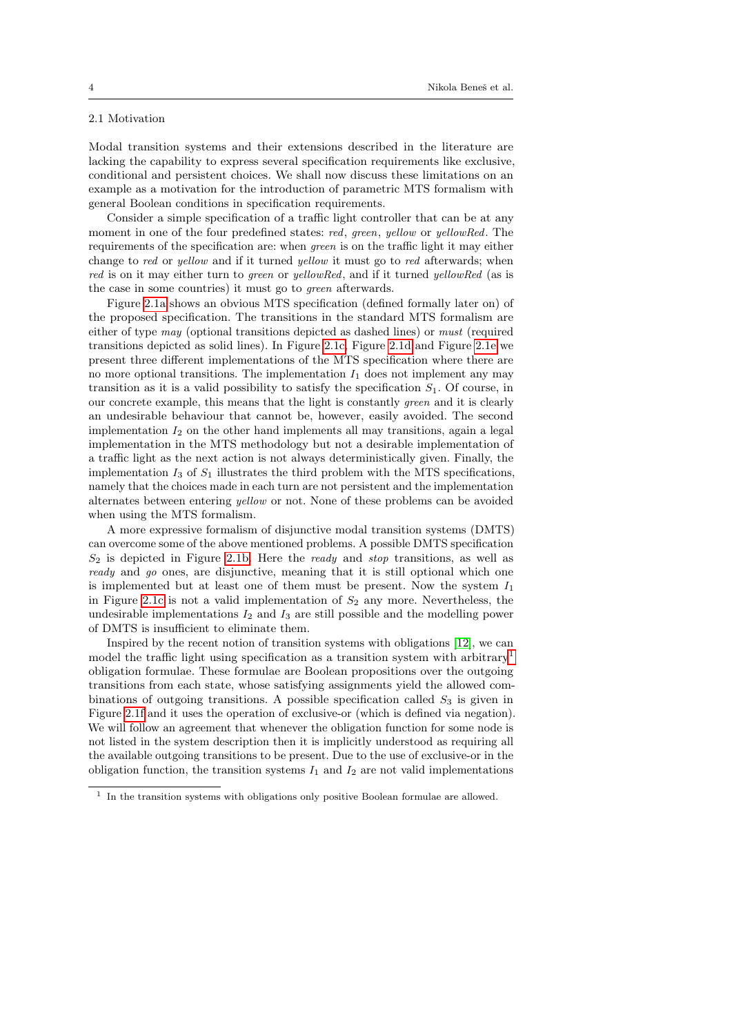## 2.1 Motivation

Modal transition systems and their extensions described in the literature are lacking the capability to express several specification requirements like exclusive, conditional and persistent choices. We shall now discuss these limitations on an example as a motivation for the introduction of parametric MTS formalism with general Boolean conditions in specification requirements.

Consider a simple specification of a traffic light controller that can be at any moment in one of the four predefined states: red, green, yellow or yellowRed. The requirements of the specification are: when green is on the traffic light it may either change to red or yellow and if it turned yellow it must go to red afterwards; when red is on it may either turn to green or yellowRed, and if it turned yellowRed (as is the case in some countries) it must go to green afterwards.

Figure [2.1a](#page-4-0) shows an obvious MTS specification (defined formally later on) of the proposed specification. The transitions in the standard MTS formalism are either of type may (optional transitions depicted as dashed lines) or must (required transitions depicted as solid lines). In Figure [2.1c,](#page-4-1) Figure [2.1d](#page-4-2) and Figure [2.1e](#page-4-3) we present three different implementations of the MTS specification where there are no more optional transitions. The implementation  $I_1$  does not implement any may transition as it is a valid possibility to satisfy the specification  $S_1$ . Of course, in our concrete example, this means that the light is constantly green and it is clearly an undesirable behaviour that cannot be, however, easily avoided. The second implementation  $I_2$  on the other hand implements all may transitions, again a legal implementation in the MTS methodology but not a desirable implementation of a traffic light as the next action is not always deterministically given. Finally, the implementation  $I_3$  of  $S_1$  illustrates the third problem with the MTS specifications, namely that the choices made in each turn are not persistent and the implementation alternates between entering yellow or not. None of these problems can be avoided when using the MTS formalism.

A more expressive formalism of disjunctive modal transition systems (DMTS) can overcome some of the above mentioned problems. A possible DMTS specification  $S_2$  is depicted in Figure [2.1b.](#page-4-4) Here the *ready* and *stop* transitions, as well as ready and go ones, are disjunctive, meaning that it is still optional which one is implemented but at least one of them must be present. Now the system  $I_1$ in Figure [2.1c](#page-4-1) is not a valid implementation of  $S_2$  any more. Nevertheless, the undesirable implementations  $I_2$  and  $I_3$  are still possible and the modelling power of DMTS is insufficient to eliminate them.

Inspired by the recent notion of transition systems with obligations [\[12\]](#page-29-2), we can model the traffic light using specification as a transition system with arbitrary<sup>[1](#page-3-0)</sup> obligation formulae. These formulae are Boolean propositions over the outgoing transitions from each state, whose satisfying assignments yield the allowed combinations of outgoing transitions. A possible specification called  $S_3$  is given in Figure [2.1f](#page-4-5) and it uses the operation of exclusive-or (which is defined via negation). We will follow an agreement that whenever the obligation function for some node is not listed in the system description then it is implicitly understood as requiring all the available outgoing transitions to be present. Due to the use of exclusive-or in the obligation function, the transition systems  $I_1$  and  $I_2$  are not valid implementations

<span id="page-3-0"></span><sup>&</sup>lt;sup>1</sup> In the transition systems with obligations only positive Boolean formulae are allowed.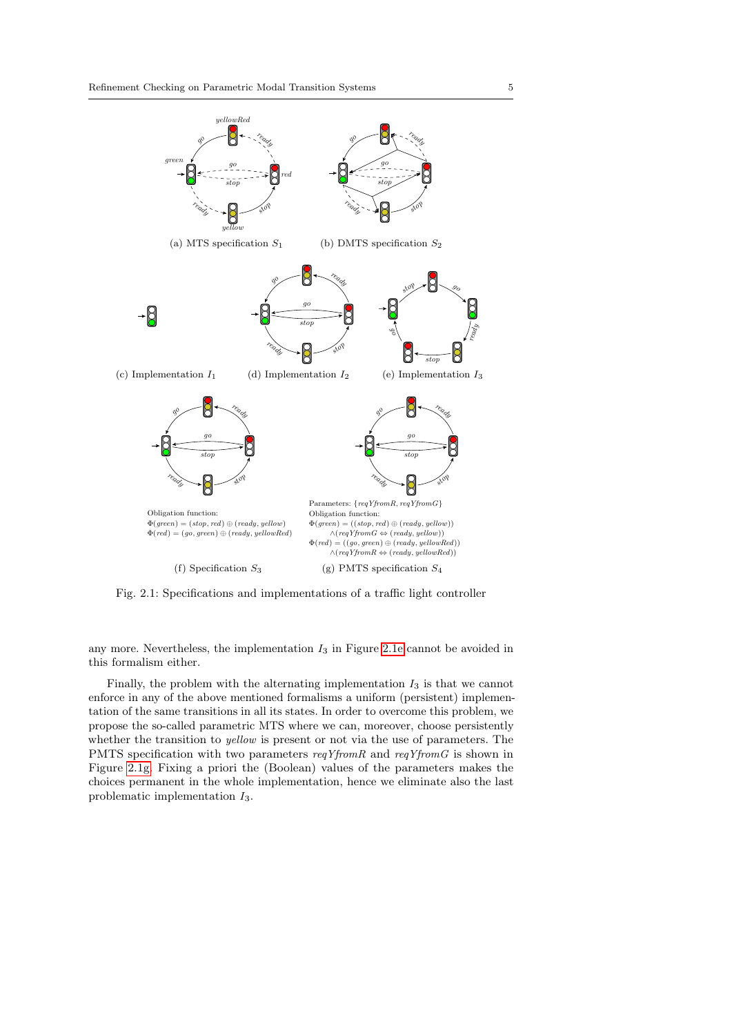<span id="page-4-4"></span><span id="page-4-1"></span><span id="page-4-0"></span>

<span id="page-4-6"></span><span id="page-4-5"></span><span id="page-4-3"></span><span id="page-4-2"></span>Fig. 2.1: Specifications and implementations of a traffic light controller

any more. Nevertheless, the implementation  $I_3$  in Figure [2.1e](#page-4-3) cannot be avoided in this formalism either.

Finally, the problem with the alternating implementation  $I_3$  is that we cannot enforce in any of the above mentioned formalisms a uniform (persistent) implementation of the same transitions in all its states. In order to overcome this problem, we propose the so-called parametric MTS where we can, moreover, choose persistently whether the transition to *yellow* is present or not via the use of parameters. The PMTS specification with two parameters reqYfromR and reqYfromG is shown in Figure [2.1g.](#page-4-6) Fixing a priori the (Boolean) values of the parameters makes the choices permanent in the whole implementation, hence we eliminate also the last problematic implementation I3.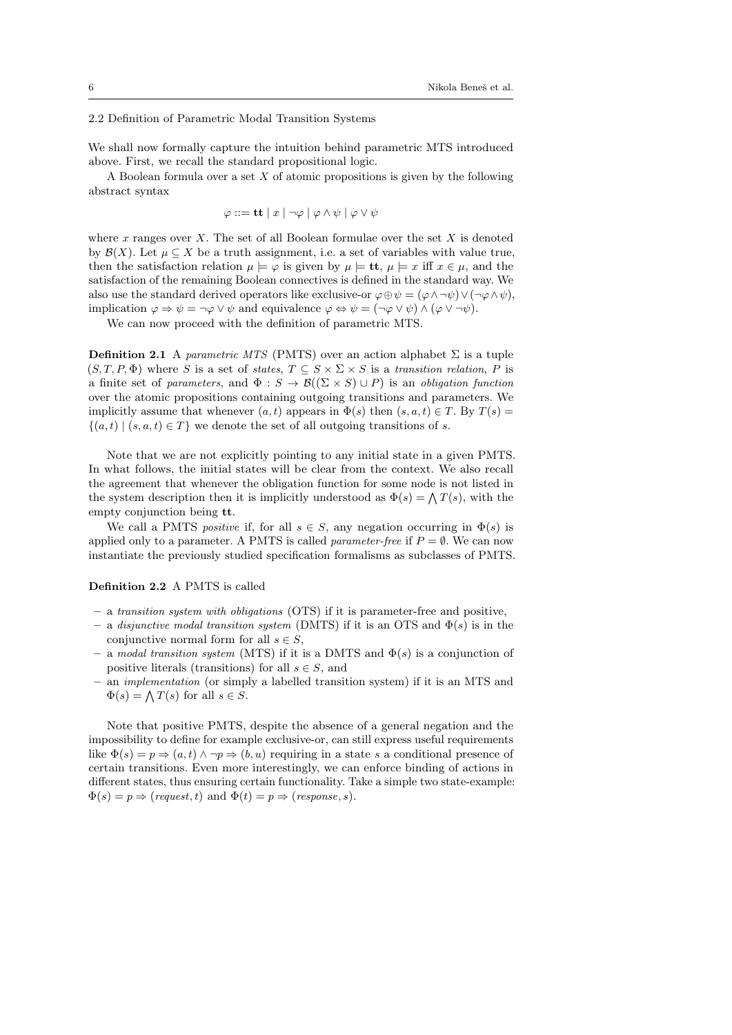## 2.2 Definition of Parametric Modal Transition Systems

We shall now formally capture the intuition behind parametric MTS introduced above. First, we recall the standard propositional logic.

A Boolean formula over a set  $X$  of atomic propositions is given by the following abstract syntax

 $\varphi ::= \mathbf{tt} | x | \neg \varphi | \varphi \wedge \psi | \varphi \vee \psi$ 

where x ranges over X. The set of all Boolean formulae over the set X is denoted by  $\mathcal{B}(X)$ . Let  $\mu \subset X$  be a truth assignment, i.e. a set of variables with value true, then the satisfaction relation  $\mu \models \varphi$  is given by  $\mu \models \mathbf{tt}, \mu \models x$  iff  $x \in \mu$ , and the satisfaction of the remaining Boolean connectives is defined in the standard way. We also use the standard derived operators like exclusive-or  $\varphi \oplus \psi = (\varphi \wedge \neg \psi) \vee (\neg \varphi \wedge \psi)$ , implication  $\varphi \Rightarrow \psi = \neg \varphi \lor \psi$  and equivalence  $\varphi \Leftrightarrow \psi = (\neg \varphi \lor \psi) \land (\varphi \lor \neg \psi)$ .

We can now proceed with the definition of parametric MTS.

Definition 2.1 A parametric MTS (PMTS) over an action alphabet  $\Sigma$  is a tuple  $(S, T, P, \Phi)$  where S is a set of states,  $T \subseteq S \times \Sigma \times S$  is a transition relation, P is a finite set of parameters, and  $\Phi : S \to \mathcal{B}((\Sigma \times S) \cup P)$  is an obligation function over the atomic propositions containing outgoing transitions and parameters. We implicitly assume that whenever  $(a, t)$  appears in  $\Phi(s)$  then  $(s, a, t) \in T$ . By  $T(s) =$  $\{(a, t) | (s, a, t) \in T\}$  we denote the set of all outgoing transitions of s.

Note that we are not explicitly pointing to any initial state in a given PMTS. In what follows, the initial states will be clear from the context. We also recall the agreement that whenever the obligation function for some node is not listed in the system description then it is implicitly understood as  $\Phi(s) = \bigwedge T(s)$ , with the empty conjunction being tt.

We call a PMTS *positive* if, for all  $s \in S$ , any negation occurring in  $\Phi(s)$  is applied only to a parameter. A PMTS is called *parameter-free* if  $P = \emptyset$ . We can now instantiate the previously studied specification formalisms as subclasses of PMTS.

## Definition 2.2 A PMTS is called

- a transition system with obligations (OTS) if it is parameter-free and positive,
- a disjunctive modal transition system (DMTS) if it is an OTS and  $\Phi(s)$  is in the conjunctive normal form for all  $s \in S$ ,
- a modal transition system (MTS) if it is a DMTS and  $\Phi(s)$  is a conjunction of positive literals (transitions) for all  $s \in S$ , and
- an implementation (or simply a labelled transition system) if it is an MTS and  $\Phi(s) = \bigwedge T(s)$  for all  $s \in S$ .

Note that positive PMTS, despite the absence of a general negation and the impossibility to define for example exclusive-or, can still express useful requirements like  $\Phi(s) = p \Rightarrow (a, t) \land \neg p \Rightarrow (b, u)$  requiring in a state s a conditional presence of certain transitions. Even more interestingly, we can enforce binding of actions in different states, thus ensuring certain functionality. Take a simple two state-example:  $\Phi(s) = p \Rightarrow (request, t) \text{ and } \Phi(t) = p \Rightarrow (response, s).$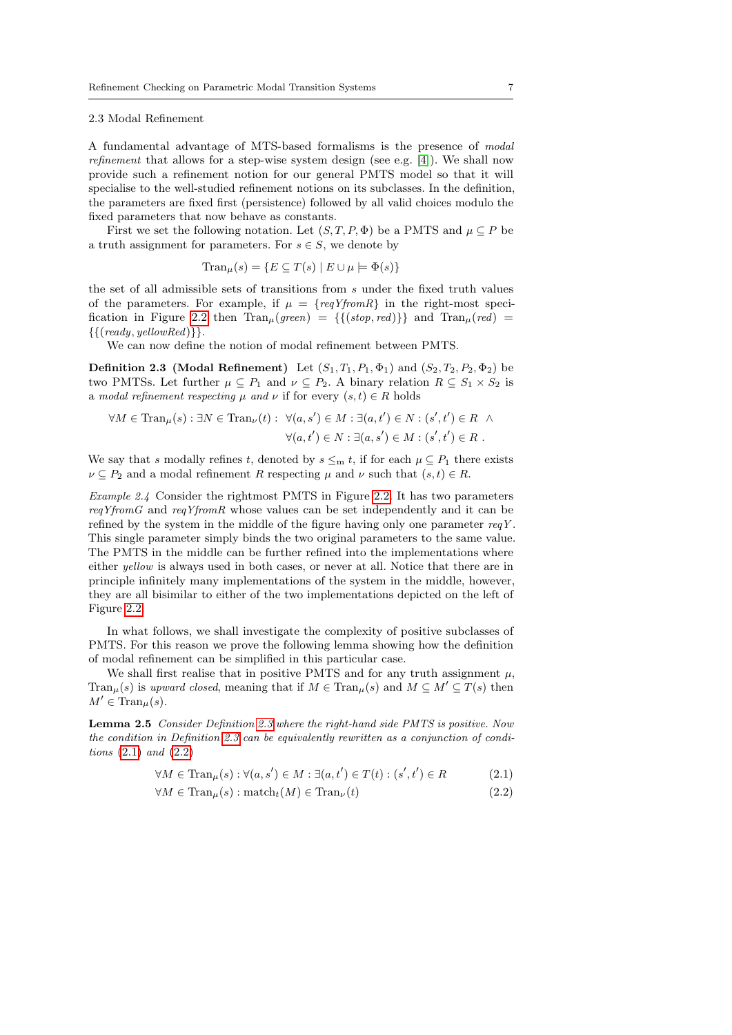## 2.3 Modal Refinement

A fundamental advantage of MTS-based formalisms is the presence of modal refinement that allows for a step-wise system design (see e.g. [\[4\]](#page-28-0)). We shall now provide such a refinement notion for our general PMTS model so that it will specialise to the well-studied refinement notions on its subclasses. In the definition, the parameters are fixed first (persistence) followed by all valid choices modulo the fixed parameters that now behave as constants.

First we set the following notation. Let  $(S, T, P, \Phi)$  be a PMTS and  $\mu \subseteq P$  be a truth assignment for parameters. For  $s \in S$ , we denote by

$$
\text{Tran}_{\mu}(s) = \{ E \subseteq T(s) \mid E \cup \mu \models \Phi(s) \}
$$

the set of all admissible sets of transitions from s under the fixed truth values of the parameters. For example, if  $\mu = \{reqY from R\}$  in the right-most speci-fication in Figure [2.2](#page-7-0) then  $\text{Tran}_{\mu}(green) = {\{(stop, red)\}}$  and  $\text{Tran}_{\mu}(red)$  $\{ \{ (ready, yellowRed) \} \}.$ 

We can now define the notion of modal refinement between PMTS.

<span id="page-6-0"></span>**Definition 2.3 (Modal Refinement)** Let  $(S_1, T_1, P_1, \Phi_1)$  and  $(S_2, T_2, P_2, \Phi_2)$  be two PMTSs. Let further  $\mu \subseteq P_1$  and  $\nu \subseteq P_2$ . A binary relation  $R \subseteq S_1 \times S_2$  is a modal refinement respecting  $\mu$  and  $\nu$  if for every  $(s, t) \in R$  holds

$$
\forall M \in \text{Tran}_{\mu}(s) : \exists N \in \text{Tran}_{\nu}(t) : \ \forall (a, s') \in M : \exists (a, t') \in N : (s', t') \in R \ \land \ \forall (a, t') \in N : \exists (a, s') \in M : (s', t') \in R \ .
$$

We say that s modally refines t, denoted by  $s \leq_m t$ , if for each  $\mu \subseteq P_1$  there exists  $\nu \subseteq P_2$  and a modal refinement R respecting  $\mu$  and  $\nu$  such that  $(s, t) \in R$ .

Example 2.4 Consider the rightmost PMTS in Figure [2.2.](#page-7-0) It has two parameters reqYfromG and reqYfromR whose values can be set independently and it can be refined by the system in the middle of the figure having only one parameter  $reqY$ . This single parameter simply binds the two original parameters to the same value. The PMTS in the middle can be further refined into the implementations where either yellow is always used in both cases, or never at all. Notice that there are in principle infinitely many implementations of the system in the middle, however, they are all bisimilar to either of the two implementations depicted on the left of Figure [2.2.](#page-7-0)

In what follows, we shall investigate the complexity of positive subclasses of PMTS. For this reason we prove the following lemma showing how the definition of modal refinement can be simplified in this particular case.

We shall first realise that in positive PMTS and for any truth assignment  $\mu$ , Tran<sub>µ</sub>(s) is upward closed, meaning that if  $M \in \text{Tran}_{\mu}(s)$  and  $M \subseteq M' \subseteq T(s)$  then  $M' \in \text{Tran}_{\mu}(s)$ .

<span id="page-6-3"></span>Lemma 2.5 Consider Definition [2.3](#page-6-0) where the right-hand side PMTS is positive. Now the condition in Definition [2.3](#page-6-0) can be equivalently rewritten as a conjunction of conditions [\(2.1\)](#page-6-1) and [\(2.2\)](#page-6-2)

$$
\forall M \in \text{Tran}_{\mu}(s) : \forall (a, s') \in M : \exists (a, t') \in T(t) : (s', t') \in R \tag{2.1}
$$

<span id="page-6-2"></span><span id="page-6-1"></span>
$$
\forall M \in \text{Tran}_{\mu}(s) : \text{match}_{t}(M) \in \text{Tran}_{\nu}(t) \tag{2.2}
$$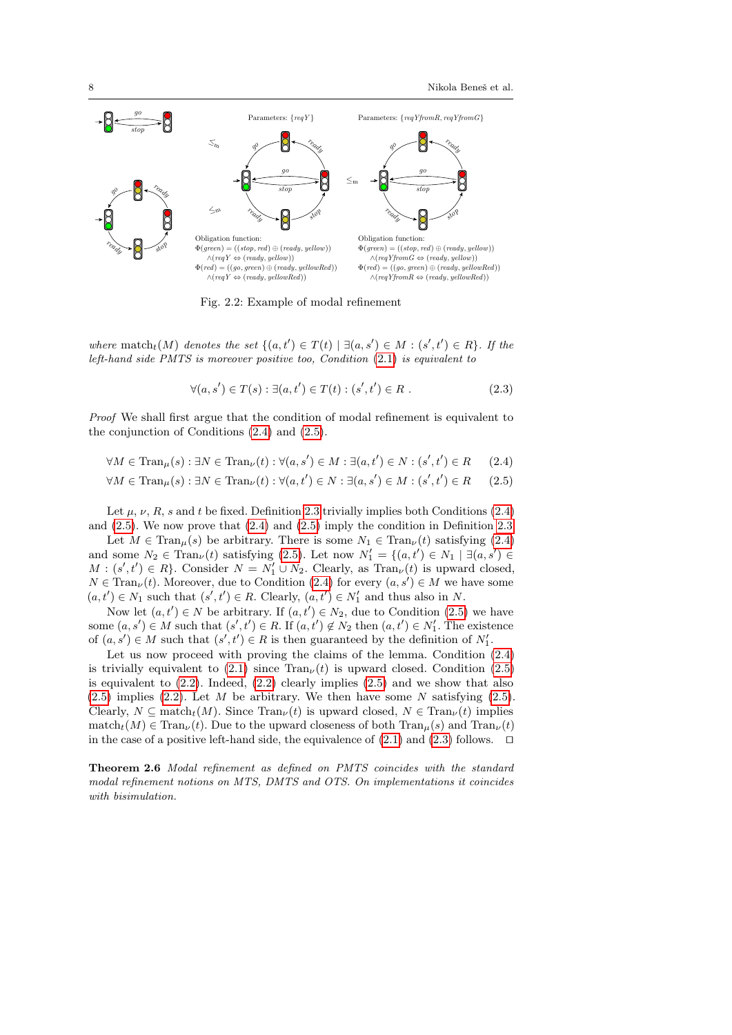<span id="page-7-0"></span>

Fig. 2.2: Example of modal refinement

where match<sub>t</sub> $(M)$  denotes the set  $\{(a,t') \in T(t) \mid \exists (a,s') \in M : (s',t') \in R\}$ . If the left-hand side PMTS is moreover positive too, Condition [\(2.1\)](#page-6-1) is equivalent to

<span id="page-7-3"></span><span id="page-7-2"></span><span id="page-7-1"></span>
$$
\forall (a, s') \in T(s) : \exists (a, t') \in T(t) : (s', t') \in R .
$$
\n(2.3)

Proof We shall first argue that the condition of modal refinement is equivalent to the conjunction of Conditions [\(2.4\)](#page-7-1) and [\(2.5\)](#page-7-2).

$$
\forall M \in \text{Tran}_{\mu}(s) : \exists N \in \text{Tran}_{\nu}(t) : \forall (a, s') \in M : \exists (a, t') \in N : (s', t') \in R \qquad (2.4)
$$

$$
\forall M \in \text{Tran}_{\mu}(s) : \exists N \in \text{Tran}_{\nu}(t) : \forall (a, t') \in N : \exists (a, s') \in M : (s', t') \in R \qquad (2.5)
$$

Let  $\mu$ ,  $\nu$ ,  $R$ ,  $s$  and  $t$  be fixed. Definition [2.3](#page-6-0) trivially implies both Conditions [\(2.4\)](#page-7-1) and [\(2.5\)](#page-7-2). We now prove that [\(2.4\)](#page-7-1) and [\(2.5\)](#page-7-2) imply the condition in Definition [2.3.](#page-6-0)

Let  $M \in \text{Tran}_{\mu}(s)$  be arbitrary. There is some  $N_1 \in \text{Tran}_{\nu}(t)$  satisfying [\(2.4\)](#page-7-1) and some  $N_2 \in \text{Tran}_{\nu}(t)$  satisfying [\(2.5\)](#page-7-2). Let now  $N'_1 = \{(a, t') \in N_1 \mid \exists (a, s') \in$  $M : (s', t') \in R$ . Consider  $N = N'_1 \cup N_2$ . Clearly, as  $\text{Tran}_{\nu}(t)$  is upward closed,  $N \in \text{Tran}_{\nu}(t)$ . Moreover, due to Condition [\(2.4\)](#page-7-1) for every  $(a, s') \in M$  we have some  $(a, t') \in N_1$  such that  $(s', t') \in R$ . Clearly,  $(a, t') \in N'_1$  and thus also in N.

Now let  $(a, t') \in N$  be arbitrary. If  $(a, t') \in N_2$ , due to Condition [\(2.5\)](#page-7-2) we have some  $(a, s') \in M$  such that  $(s', t') \in R$ . If  $(a, t') \notin N_2$  then  $(a, t') \in N'_1$ . The existence of  $(a, s') \in M$  such that  $(s', t') \in R$  is then guaranteed by the definition of  $N'_1$ .

Let us now proceed with proving the claims of the lemma. Condition [\(2.4\)](#page-7-1) is trivially equivalent to [\(2.1\)](#page-6-1) since  $\text{Tran}_{\nu}(t)$  is upward closed. Condition [\(2.5\)](#page-7-2) is equivalent to  $(2.2)$ . Indeed,  $(2.2)$  clearly implies  $(2.5)$  and we show that also  $(2.5)$  implies  $(2.2)$ . Let M be arbitrary. We then have some N satisfying  $(2.5)$ . Clearly,  $N \subseteq \text{match}_t(M)$ . Since  $\text{Tran}_{\nu}(t)$  is upward closed,  $N \in \text{Tran}_{\nu}(t)$  implies match<sub>t</sub> $(M) \in \text{Tran}_{\nu}(t)$ . Due to the upward closeness of both  $\text{Tran}_{\nu}(s)$  and  $\text{Tran}_{\nu}(t)$ in the case of a positive left-hand side, the equivalence of  $(2.1)$  and  $(2.3)$  follows.  $\Box$ 

Theorem 2.6 Modal refinement as defined on PMTS coincides with the standard modal refinement notions on MTS, DMTS and OTS. On implementations it coincides with bisimulation.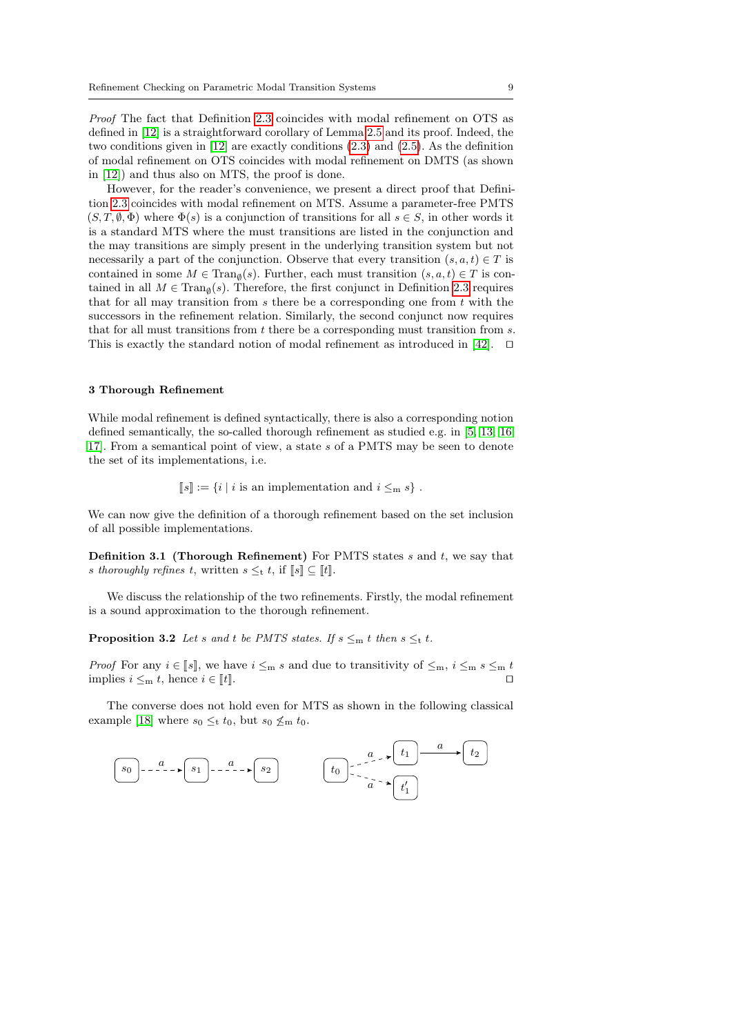Proof The fact that Definition [2.3](#page-6-0) coincides with modal refinement on OTS as defined in [\[12\]](#page-29-2) is a straightforward corollary of Lemma [2.5](#page-6-3) and its proof. Indeed, the two conditions given in [\[12\]](#page-29-2) are exactly conditions [\(2.3\)](#page-7-3) and [\(2.5\)](#page-7-2). As the definition of modal refinement on OTS coincides with modal refinement on DMTS (as shown in [\[12\]](#page-29-2)) and thus also on MTS, the proof is done.

However, for the reader's convenience, we present a direct proof that Definition [2.3](#page-6-0) coincides with modal refinement on MTS. Assume a parameter-free PMTS  $(S, T, \emptyset, \Phi)$  where  $\Phi(s)$  is a conjunction of transitions for all  $s \in S$ , in other words it is a standard MTS where the must transitions are listed in the conjunction and the may transitions are simply present in the underlying transition system but not necessarily a part of the conjunction. Observe that every transition  $(s, a, t) \in T$  is contained in some  $M \in \text{Tran}_{\emptyset}(s)$ . Further, each must transition  $(s, a, t) \in T$  is contained in all  $M \in \text{Tran}_{\emptyset}(s)$ . Therefore, the first conjunct in Definition [2.3](#page-6-0) requires that for all may transition from  $s$  there be a corresponding one from  $t$  with the successors in the refinement relation. Similarly, the second conjunct now requires that for all must transitions from t there be a corresponding must transition from s. This is exactly the standard notion of modal refinement as introduced in [\[42\]](#page-30-0).  $\Box$ 

#### <span id="page-8-0"></span>3 Thorough Refinement

While modal refinement is defined syntactically, there is also a corresponding notion defined semantically, the so-called thorough refinement as studied e.g. in [\[5,](#page-28-5) [13,](#page-29-14) [16,](#page-29-15) [17\]](#page-29-16). From a semantical point of view, a state s of a PMTS may be seen to denote the set of its implementations, i.e.

 $[s] := \{i | i \text{ is an implementation and } i \leq_m s\}.$ 

We can now give the definition of a thorough refinement based on the set inclusion of all possible implementations.

**Definition 3.1 (Thorough Refinement)** For PMTS states  $s$  and  $t$ , we say that s thoroughly refines t, written  $s \leq_t t$ , if  $\llbracket s \rrbracket \subseteq \llbracket t \rrbracket$ .

We discuss the relationship of the two refinements. Firstly, the modal refinement is a sound approximation to the thorough refinement.

**Proposition 3.2** Let s and t be PMTS states. If  $s \leq_m t$  then  $s \leq_t t$ .

*Proof* For any  $i \in [\![s]\!]$ , we have  $i \leq_m s$  and due to transitivity of  $\leq_m$ ,  $i \leq_m s \leq_m t$ implies  $i \leq_m t$ , hence  $i \in [t]$ .

The converse does not hold even for MTS as shown in the following classical example [\[18\]](#page-29-17) where  $s_0 \leq t t_0$ , but  $s_0 \nleq_m t_0$ .

$$
\begin{array}{|c|c|c|c|c|}\hline s_0 & - & a & \rightarrow & s_1 & - & a & \rightarrow & s_2 \\ \hline \end{array}
$$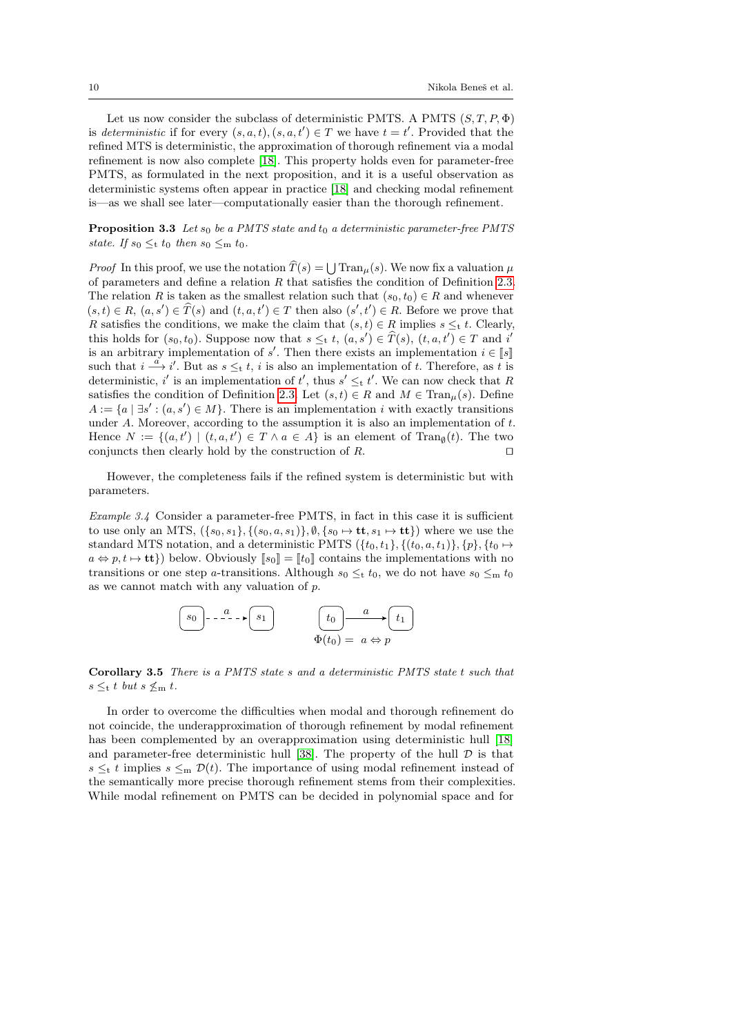Let us now consider the subclass of deterministic PMTS. A PMTS  $(S, T, P, \Phi)$ is deterministic if for every  $(s, a, t), (s, a, t') \in T$  we have  $t = t'$ . Provided that the refined MTS is deterministic, the approximation of thorough refinement via a modal refinement is now also complete [\[18\]](#page-29-17). This property holds even for parameter-free PMTS, as formulated in the next proposition, and it is a useful observation as deterministic systems often appear in practice [\[18\]](#page-29-17) and checking modal refinement is—as we shall see later—computationally easier than the thorough refinement.

**Proposition 3.3** Let  $s_0$  be a PMTS state and  $t_0$  a deterministic parameter-free PMTS state. If  $s_0 \leq_t t_0$  then  $s_0 \leq_m t_0$ .

*Proof* In this proof, we use the notation  $T(s) = \bigcup \text{Tran}_{\mu}(s)$ . We now fix a valuation  $\mu$ of parameters and define a relation  $R$  that satisfies the condition of Definition [2.3.](#page-6-0) The relation R is taken as the smallest relation such that  $(s_0, t_0) \in R$  and whenever  $(s, t) \in R$ ,  $(a, s') \in \widehat{T}(s)$  and  $(t, a, t') \in T$  then also  $(s', t') \in R$ . Before we prove that R satisfies the conditions, we make the claim that  $(s, t) \in R$  implies  $s \leq_t t$ . Clearly, this holds for  $(s_0, t_0)$ . Suppose now that  $s \leq t$ ,  $(a, s') \in \widehat{T}(s)$ ,  $(t, a, t') \in T$  and i is an arbitrary implementation of s'. Then there exists an implementation  $i \in [\![s]\!]$ such that  $i \stackrel{a}{\longrightarrow} i'$ . But as  $s \leq_t t$ , i is also an implementation of t. Therefore, as t is deterministic, i' is an implementation of t', thus  $s' \leq_t t'$ . We can now check that R satisfies the condition of Definition [2.3.](#page-6-0) Let  $(s, t) \in R$  and  $M \in \text{Tran}_{\mu}(s)$ . Define  $A := \{a \mid \exists s' : (a, s') \in M\}.$  There is an implementation i with exactly transitions under  $A$ . Moreover, according to the assumption it is also an implementation of  $t$ . Hence  $N := \{(a, t') \mid (t, a, t') \in T \land a \in A\}$  is an element of  $\text{Tran}_{\emptyset}(t)$ . The two conjuncts then clearly hold by the construction of  $R$ .

However, the completeness fails if the refined system is deterministic but with parameters.

Example 3.4 Consider a parameter-free PMTS, in fact in this case it is sufficient to use only an MTS,  $({s_0, s_1}, {s_0, s_1}, \ldots, s_1)$ ,  $\emptyset, {s_0 \mapsto \mathbf{t}, s_1 \mapsto \mathbf{t} \}$ ) where we use the standard MTS notation, and a deterministic PMTS  $({t_0, t_1}, ({t_0, a, t_1}), {p}, {t_0 \mapsto}$  $a \Leftrightarrow p, t \mapsto \mathbf{tt}$ ) below. Obviously  $\llbracket s_0 \rrbracket = \llbracket t_0 \rrbracket$  contains the implementations with no transitions or one step a-transitions. Although  $s_0 \leq t t_0$ , we do not have  $s_0 \leq m t_0$ as we cannot match with any valuation of  $p$ .

$$
\begin{array}{|c|c|c|}\hline s_0 & - & - & - \rightarrow \boxed{s_1} & \text{for } t_0 & a \rightarrow \boxed{t_1} \\ \hline \Phi(t_0) & = & a \Leftrightarrow p & \end{array}
$$

Corollary 3.5 There is a PMTS state s and a deterministic PMTS state t such that  $s \leq_t t$  but  $s \nleq_m t$ .

In order to overcome the difficulties when modal and thorough refinement do not coincide, the underapproximation of thorough refinement by modal refinement has been complemented by an overapproximation using deterministic hull [\[18\]](#page-29-17) and parameter-free deterministic hull [\[38\]](#page-30-16). The property of the hull  $\mathcal D$  is that s  $\leq_t t$  implies  $s \leq_m \mathcal{D}(t)$ . The importance of using modal refinement instead of the semantically more precise thorough refinement stems from their complexities. While modal refinement on PMTS can be decided in polynomial space and for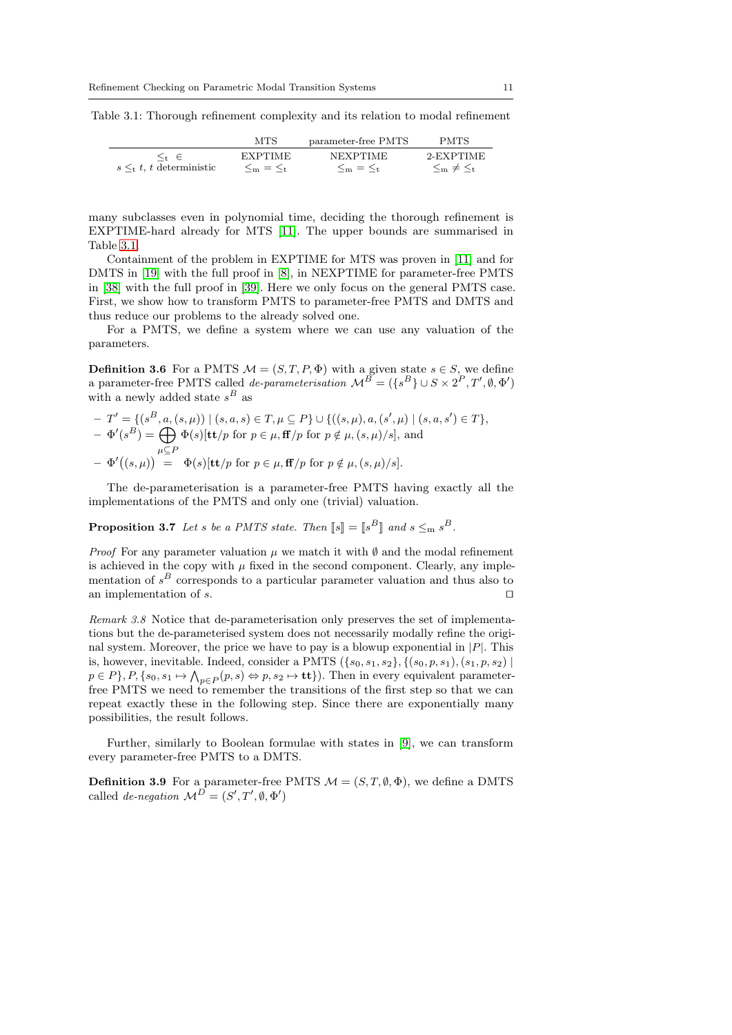<span id="page-10-0"></span>Table 3.1: Thorough refinement complexity and its relation to modal refinement

|                                | MTS                 | parameter-free PMTS | <b>PMTS</b>          |
|--------------------------------|---------------------|---------------------|----------------------|
| $s \leq_t t$ , t deterministic | <b>EXPTIME</b>      | <b>NEXPTIME</b>     | 2-EXPTIME            |
|                                | $\leq_m$ = $\leq_t$ | $\leq_m$ = $\leq_t$ | $\leq_m \neq \leq_t$ |

many subclasses even in polynomial time, deciding the thorough refinement is EXPTIME-hard already for MTS [\[11\]](#page-29-18). The upper bounds are summarised in Table [3.1.](#page-10-0)

Containment of the problem in EXPTIME for MTS was proven in [\[11\]](#page-29-18) and for DMTS in [\[19\]](#page-29-4) with the full proof in [\[8\]](#page-28-6), in NEXPTIME for parameter-free PMTS in [\[38\]](#page-30-16) with the full proof in [\[39\]](#page-30-17). Here we only focus on the general PMTS case. First, we show how to transform PMTS to parameter-free PMTS and DMTS and thus reduce our problems to the already solved one.

For a PMTS, we define a system where we can use any valuation of the parameters.

**Definition 3.6** For a PMTS  $M = (S, T, P, \Phi)$  with a given state  $s \in S$ , we define a parameter-free PMTS called *de-parameterisation*  $\mathcal{M}^B = (\{s^B\} \cup S \times 2^P, T', \emptyset, \Phi')$ with a newly added state  $s^B$  as

$$
-T' = \{ (s^B, a, (s, \mu)) \mid (s, a, s) \in T, \mu \subseteq P \} \cup \{ ((s, \mu), a, (s', \mu) \mid (s, a, s') \in T \},
$$
  

$$
- \Phi'(s^B) = \bigoplus_{\mu \subseteq P} \Phi(s)[\mathbf{t}t/p \text{ for } p \in \mu, \mathbf{f}p \text{ for } p \notin \mu, (s, \mu)/s], \text{ and}
$$
  

$$
- \Phi'((s, \mu)) = \Phi(s)[\mathbf{t}t/p \text{ for } p \in \mu, \mathbf{f}p \text{ for } p \notin \mu, (s, \mu)/s].
$$

The de-parameterisation is a parameter-free PMTS having exactly all the implementations of the PMTS and only one (trivial) valuation.

**Proposition 3.7** Let s be a PMTS state. Then  $[s] = [s^B]$  and  $s \leq_m s^B$ .

*Proof* For any parameter valuation  $\mu$  we match it with  $\emptyset$  and the modal refinement is achieved in the copy with  $\mu$  fixed in the second component. Clearly, any implementation of  $s<sup>B</sup>$  corresponds to a particular parameter valuation and thus also to an implementation of s.  $\Box$ 

Remark 3.8 Notice that de-parameterisation only preserves the set of implementations but the de-parameterised system does not necessarily modally refine the original system. Moreover, the price we have to pay is a blowup exponential in  $|P|$ . This is, however, inevitable. Indeed, consider a PMTS  $({s_0, s_1, s_2}, {s_0, s_1}, (s_1, p, s_2)$  $p \in P\}$ ,  $P$ ,  $\{s_0, s_1 \mapsto \bigwedge_{p \in P}(p, s) \Leftrightarrow p, s_2 \mapsto \textbf{tt}\}$ ). Then in every equivalent parameterfree PMTS we need to remember the transitions of the first step so that we can repeat exactly these in the following step. Since there are exponentially many possibilities, the result follows.

Further, similarly to Boolean formulae with states in [\[9\]](#page-29-0), we can transform every parameter-free PMTS to a DMTS.

**Definition 3.9** For a parameter-free PMTS  $M = (S, T, \emptyset, \Phi)$ , we define a DMTS called *de-negation*  $\mathcal{M}^D = (S', T', \emptyset, \Phi')$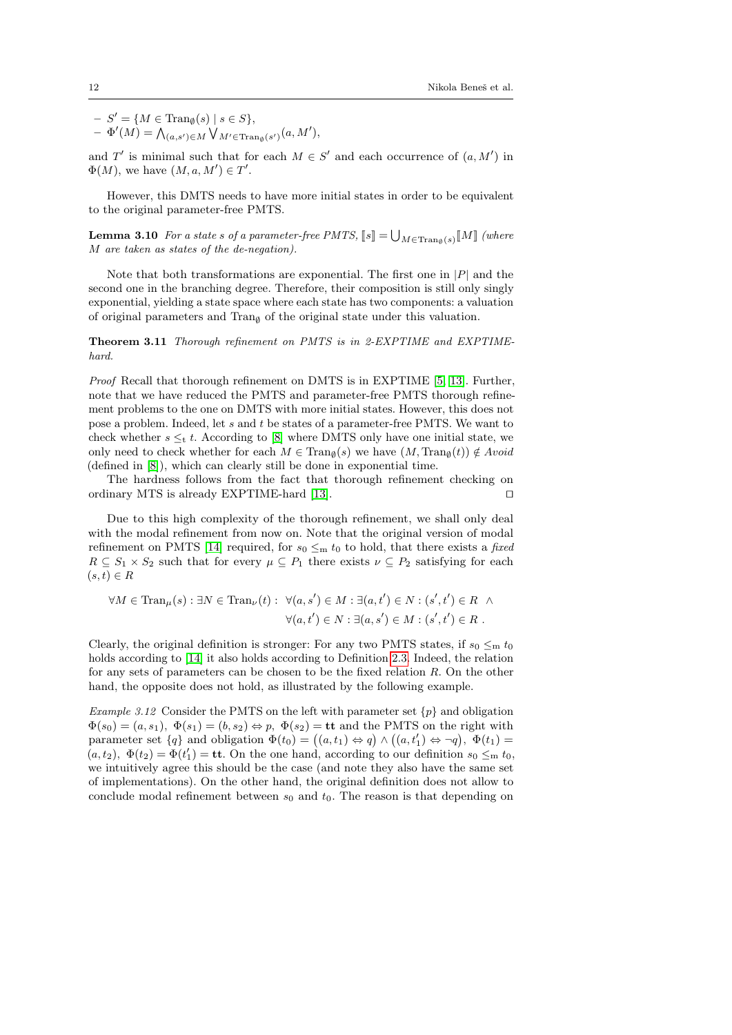$- S' = \{ M \in \text{Tran}_{\emptyset}(s) \mid s \in S \},$  $- \Phi'(M) = \bigwedge_{(a,s') \in M} \bigvee_{M' \in \text{Tran}_{\emptyset}(s')} (a, M'),$ 

and T' is minimal such that for each  $M \in S'$  and each occurrence of  $(a, M')$  in  $\Phi(M)$ , we have  $(M, a, M') \in T'$ .

However, this DMTS needs to have more initial states in order to be equivalent to the original parameter-free PMTS.

**Lemma 3.10** For a state s of a parameter-free PMTS,  $[s] = \bigcup_{M \in \text{Tran}_{\emptyset}(s)} [M]$  (where M are taken as states of the de-negation).

Note that both transformations are exponential. The first one in  $|P|$  and the second one in the branching degree. Therefore, their composition is still only singly exponential, yielding a state space where each state has two components: a valuation of original parameters and  $\text{Tran}_{\emptyset}$  of the original state under this valuation.

Theorem 3.11 Thorough refinement on PMTS is in 2-EXPTIME and EXPTIMEhard.

Proof Recall that thorough refinement on DMTS is in EXPTIME [\[5,](#page-28-5) [13\]](#page-29-14). Further, note that we have reduced the PMTS and parameter-free PMTS thorough refinement problems to the one on DMTS with more initial states. However, this does not pose a problem. Indeed, let s and t be states of a parameter-free PMTS. We want to check whether  $s \leq_t t$ . According to [\[8\]](#page-28-6) where DMTS only have one initial state, we only need to check whether for each  $M \in \text{Tran}_{\emptyset}(s)$  we have  $(M, \text{Tran}_{\emptyset}(t)) \notin Avoid$ (defined in [\[8\]](#page-28-6)), which can clearly still be done in exponential time.

The hardness follows from the fact that thorough refinement checking on ordinary MTS is already EXPTIME-hard [\[13\]](#page-29-14).  $\square$ 

Due to this high complexity of the thorough refinement, we shall only deal with the modal refinement from now on. Note that the original version of modal refinement on PMTS [\[14\]](#page-29-13) required, for  $s_0 \leq_m t_0$  to hold, that there exists a fixed  $R \subseteq S_1 \times S_2$  such that for every  $\mu \subseteq P_1$  there exists  $\nu \subseteq P_2$  satisfying for each  $(s, t) \in R$ 

$$
\forall M \in \text{Tran}_{\mu}(s) : \exists N \in \text{Tran}_{\nu}(t) : \ \forall (a, s') \in M : \exists (a, t') \in N : (s', t') \in R \ \land \\ \forall (a, t') \in N : \exists (a, s') \in M : (s', t') \in R \ .
$$

Clearly, the original definition is stronger: For any two PMTS states, if  $s_0 \leq m t_0$ holds according to [\[14\]](#page-29-13) it also holds according to Definition [2.3.](#page-6-0) Indeed, the relation for any sets of parameters can be chosen to be the fixed relation R. On the other hand, the opposite does not hold, as illustrated by the following example.

Example 3.12 Consider the PMTS on the left with parameter set  $\{p\}$  and obligation  $\Phi(s_0) = (a, s_1), \ \Phi(s_1) = (b, s_2) \Leftrightarrow p, \ \Phi(s_2) = \mathbf{t} \mathbf{t}$  and the PMTS on the right with parameter set  $\{q\}$  and obligation  $\Phi(t_0) = ((a, t_1) \Leftrightarrow q) \wedge ((a, t'_1) \Leftrightarrow \neg q), \ \Phi(t_1) =$  $(a, t_2), \Phi(t_2) = \Phi(t_1') = \mathbf{t} \mathbf{t}$ . On the one hand, according to our definition  $s_0 \leq_{\mathbf{m}} t_0$ , we intuitively agree this should be the case (and note they also have the same set of implementations). On the other hand, the original definition does not allow to conclude modal refinement between  $s_0$  and  $t_0$ . The reason is that depending on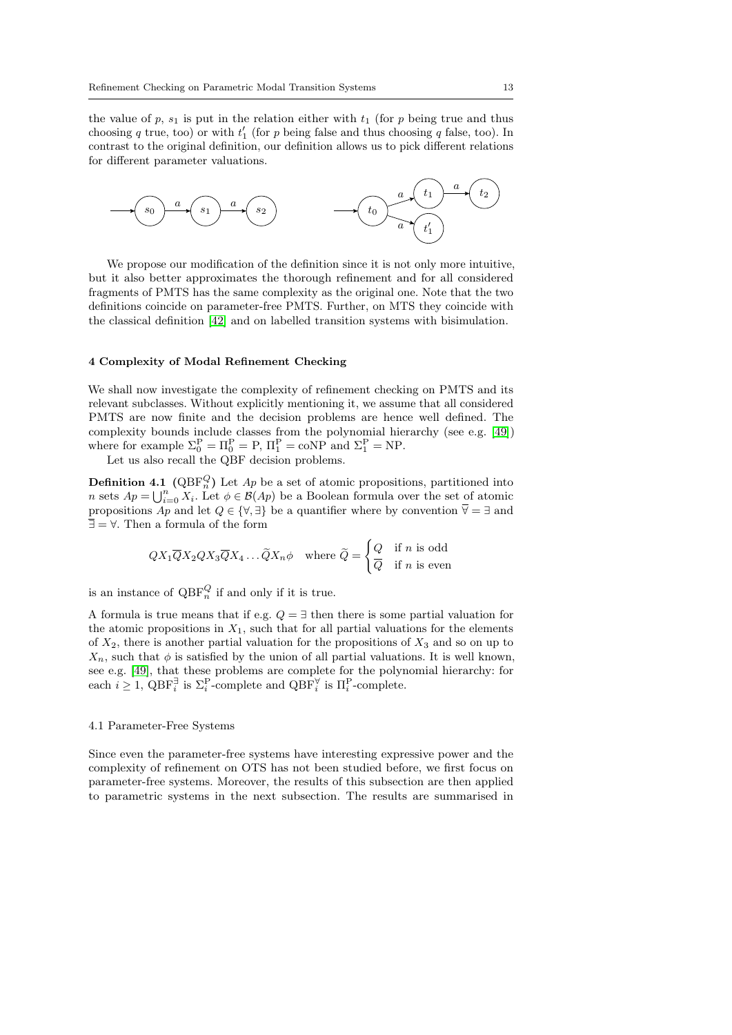the value of p,  $s_1$  is put in the relation either with  $t_1$  (for p being true and thus choosing q true, too) or with  $t_1'$  (for p being false and thus choosing q false, too). In contrast to the original definition, our definition allows us to pick different relations for different parameter valuations.



We propose our modification of the definition since it is not only more intuitive, but it also better approximates the thorough refinement and for all considered fragments of PMTS has the same complexity as the original one. Note that the two definitions coincide on parameter-free PMTS. Further, on MTS they coincide with the classical definition [\[42\]](#page-30-0) and on labelled transition systems with bisimulation.

## <span id="page-12-0"></span>4 Complexity of Modal Refinement Checking

We shall now investigate the complexity of refinement checking on PMTS and its relevant subclasses. Without explicitly mentioning it, we assume that all considered PMTS are now finite and the decision problems are hence well defined. The complexity bounds include classes from the polynomial hierarchy (see e.g. [\[49\]](#page-31-6)) where for example  $\Sigma_0^{\text{P}} = \Pi_0^{\text{P}} = \text{P}, \Pi_1^{\text{P}} = \text{coNP}$  and  $\Sigma_1^{\text{P}} = \text{NP}$ .

Let us also recall the QBF decision problems.

**Definition 4.1** ( $QBF_n^Q$ ) Let  $Ap$  be a set of atomic propositions, partitioned into n sets  $Ap = \bigcup_{i=0}^{n} X_i$ . Let  $\phi \in \mathcal{B}(Ap)$  be a Boolean formula over the set of atomic propositions  $Ap$  and let  $Q \in \{ \forall, \exists \}$  be a quantifier where by convention  $\overline{\forall} = \exists$  and  $\overline{\exists} = \forall$ . Then a formula of the form

<span id="page-12-1"></span>
$$
QX_1\overline{Q}X_2QX_3\overline{Q}X_4\ldots\widetilde{Q}X_n\phi \quad \text{where } \widetilde{Q} = \begin{cases} Q & \text{if } n \text{ is odd} \\ \overline{Q} & \text{if } n \text{ is even} \end{cases}
$$

is an instance of  $QBF_n^Q$  if and only if it is true.

A formula is true means that if e.g.  $Q = \exists$  then there is some partial valuation for the atomic propositions in  $X_1$ , such that for all partial valuations for the elements of  $X_2$ , there is another partial valuation for the propositions of  $X_3$  and so on up to  $X_n$ , such that  $\phi$  is satisfied by the union of all partial valuations. It is well known, see e.g. [\[49\]](#page-31-6), that these problems are complete for the polynomial hierarchy: for each  $i \geq 1$ ,  $\text{QBF}_{i}^{\exists}$  is  $\Sigma_{i}^{\text{P}}$ -complete and  $\text{QBF}_{i}^{\forall}$  is  $\Pi_{i}^{\text{P}}$ -complete.

#### 4.1 Parameter-Free Systems

Since even the parameter-free systems have interesting expressive power and the complexity of refinement on OTS has not been studied before, we first focus on parameter-free systems. Moreover, the results of this subsection are then applied to parametric systems in the next subsection. The results are summarised in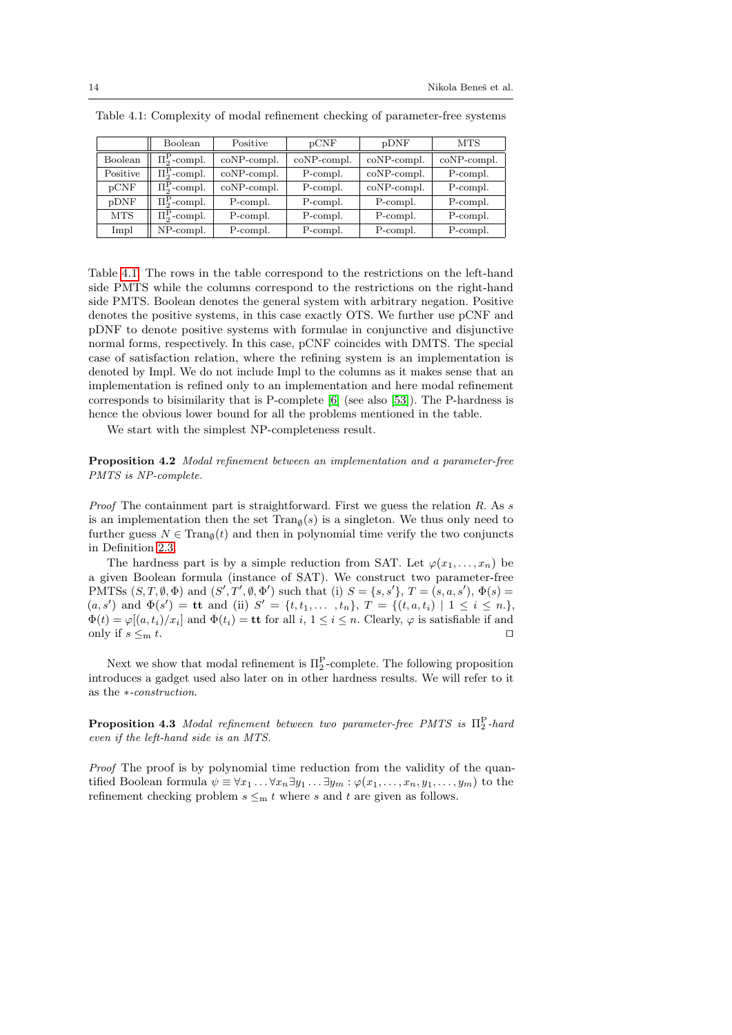|            | Boolean                   | Positive       | pCNF        | pDNF           | MTS         |
|------------|---------------------------|----------------|-------------|----------------|-------------|
| Boolean    | $\Pi_2^{\rm P}$ -compl.   | $coNP$ -compl. | coNP-compl. | $coNP$ -compl. | coNP-compl. |
| Positive   | $\Pi^{\rm P}_{2}$ -compl. | $coNP$ -compl. | P-compl.    | $coNP$ -compl. | P-compl.    |
| pCNF       | $\Pi_2^{\rm P}$ -compl.   | $coNP$ -compl. | P-compl.    | $coNP$ -compl. | P-compl.    |
| pDNF       | $\Pi_2^{\rm P}$ -compl.   | P-compl.       | P-compl.    | P-compl.       | P-compl.    |
| <b>MTS</b> | $\Pi_2^{\rm P}$ -compl.   | P-compl.       | P-compl.    | P-compl.       | P-compl.    |
| Impl       | NP-compl.                 | P-compl.       | P-compl.    | P-compl.       | P-compl.    |

<span id="page-13-0"></span>Table 4.1: Complexity of modal refinement checking of parameter-free systems

Table [4.1.](#page-13-0) The rows in the table correspond to the restrictions on the left-hand side PMTS while the columns correspond to the restrictions on the right-hand side PMTS. Boolean denotes the general system with arbitrary negation. Positive denotes the positive systems, in this case exactly OTS. We further use pCNF and pDNF to denote positive systems with formulae in conjunctive and disjunctive normal forms, respectively. In this case, pCNF coincides with DMTS. The special case of satisfaction relation, where the refining system is an implementation is denoted by Impl. We do not include Impl to the columns as it makes sense that an implementation is refined only to an implementation and here modal refinement corresponds to bisimilarity that is P-complete [\[6\]](#page-28-7) (see also [\[53\]](#page-31-7)). The P-hardness is hence the obvious lower bound for all the problems mentioned in the table.

We start with the simplest NP-completeness result.

Proposition 4.2 Modal refinement between an implementation and a parameter-free PMTS is NP-complete.

*Proof* The containment part is straightforward. First we guess the relation  $R$ . As s is an implementation then the set  $\text{Tran}_{\emptyset}(s)$  is a singleton. We thus only need to further guess  $N \in \text{Tran}_{\emptyset}(t)$  and then in polynomial time verify the two conjuncts in Definition [2.3.](#page-6-0)

The hardness part is by a simple reduction from SAT. Let  $\varphi(x_1, \ldots, x_n)$  be a given Boolean formula (instance of SAT). We construct two parameter-free PMTSs  $(S, T, \emptyset, \Phi)$  and  $(S', T', \emptyset, \Phi')$  such that (i)  $S = \{s, s'\}, T = (s, a, s')$ ,  $\Phi(s) =$  $(a, s')$  and  $\Phi(s') = \mathbf{t} \mathbf{t}$  and (ii)  $S' = \{t, t_1, \ldots, t_n\}, T = \{(t, a, t_i) \mid 1 \leq i \leq n.\}$  $\Phi(t) = \varphi[(a, t_i)/x_i]$  and  $\Phi(t_i) = \mathbf{t} \mathbf{t}$  for all  $i, 1 \leq i \leq n$ . Clearly,  $\varphi$  is satisfiable if and only if  $s \leq_m t$ .

Next we show that modal refinement is  $\Pi_2^{\text{P}}$ -complete. The following proposition introduces a gadget used also later on in other hardness results. We will refer to it as the ∗-construction.

<span id="page-13-1"></span>**Proposition 4.3** Modal refinement between two parameter-free PMTS is  $\Pi_2^{\text{P}}$ -hard even if the left-hand side is an MTS.

Proof The proof is by polynomial time reduction from the validity of the quantified Boolean formula  $\psi \equiv \forall x_1 \dots \forall x_n \exists y_1 \dots \exists y_m : \varphi(x_1, \dots, x_n, y_1, \dots, y_m)$  to the refinement checking problem  $s \leq m t$  where s and t are given as follows.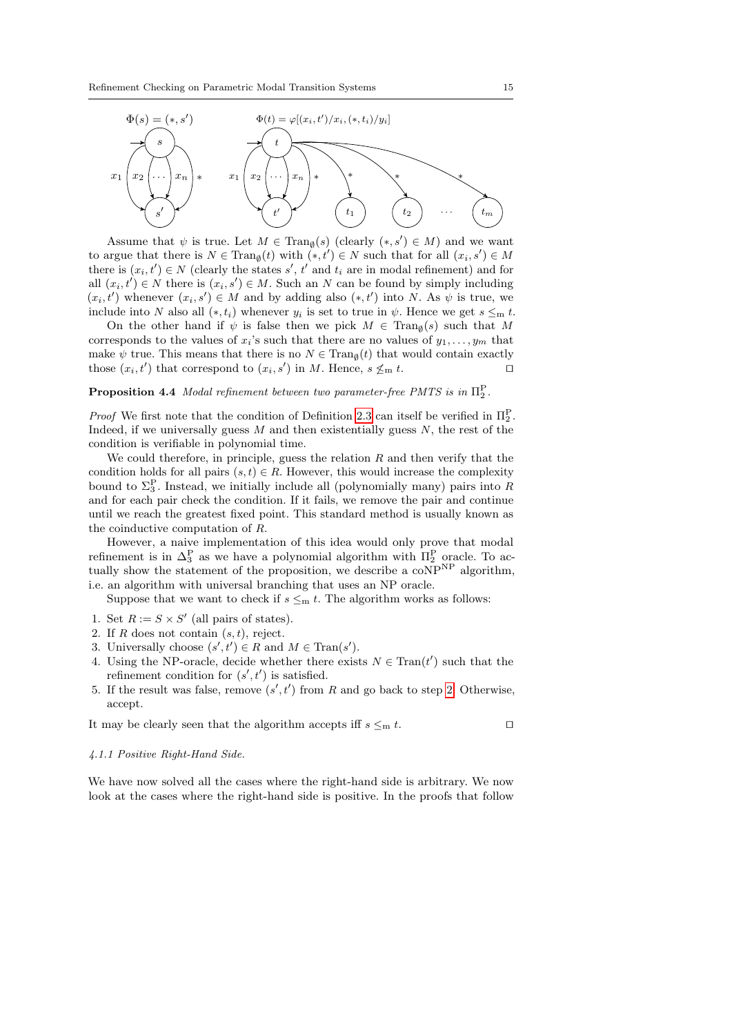

Assume that  $\psi$  is true. Let  $M \in \text{Tran}_{\emptyset}(s)$  (clearly  $(*, s') \in M$ ) and we want to argue that there is  $N \in \text{Tran}_{\emptyset}(t)$  with  $(*, t') \in N$  such that for all  $(x_i, s') \in M$ there is  $(x_i, t') \in N$  (clearly the states s', t' and  $t_i$  are in modal refinement) and for all  $(x_i, t') \in N$  there is  $(x_i, s') \in M$ . Such an N can be found by simply including  $(x_i, t')$  whenever  $(x_i, s') \in M$  and by adding also  $(*, t')$  into N. As  $\psi$  is true, we include into N also all  $(*, t_i)$  whenever  $y_i$  is set to true in  $\psi$ . Hence we get  $s \leq_m t$ .

On the other hand if  $\psi$  is false then we pick  $M \in \text{Tran}_{\emptyset}(s)$  such that M corresponds to the values of  $x_i$ 's such that there are no values of  $y_1, \ldots, y_m$  that make  $\psi$  true. This means that there is no  $N \in \text{Tran}_{\emptyset}(t)$  that would contain exactly those  $(x_i, t')$  that correspond to  $(x_i, s')$  in M. Hence,  $s \nleq_m t$ .

## <span id="page-14-1"></span>**Proposition 4.4** Modal refinement between two parameter-free PMTS is in  $\Pi_2^P$ .

*Proof* We first note that the condition of Definition [2.3](#page-6-0) can itself be verified in  $\Pi_2^{\text{P}}$ . Indeed, if we universally guess  $M$  and then existentially guess  $N$ , the rest of the condition is verifiable in polynomial time.

We could therefore, in principle, guess the relation  $R$  and then verify that the condition holds for all pairs  $(s, t) \in R$ . However, this would increase the complexity bound to  $\Sigma_3^P$ . Instead, we initially include all (polynomially many) pairs into R and for each pair check the condition. If it fails, we remove the pair and continue until we reach the greatest fixed point. This standard method is usually known as the coinductive computation of R.

However, a naive implementation of this idea would only prove that modal refinement is in  $\Delta_3^P$  as we have a polynomial algorithm with  $\Pi_2^P$  oracle. To actually show the statement of the proposition, we describe a coNP<sup>NP</sup> algorithm, i.e. an algorithm with universal branching that uses an NP oracle.

Suppose that we want to check if  $s \leq_m t$ . The algorithm works as follows:

- 1. Set  $R := S \times S'$  (all pairs of states).
- <span id="page-14-0"></span>2. If R does not contain  $(s, t)$ , reject.
- 3. Universally choose  $(s', t') \in R$  and  $M \in \text{Tran}(s')$ .
- 4. Using the NP-oracle, decide whether there exists  $N \in \text{Tran}(t')$  such that the refinement condition for  $(s', t')$  is satisfied.
- 5. If the result was false, remove  $(s', t')$  from R and go back to step [2.](#page-14-0) Otherwise, accept.

It may be clearly seen that the algorithm accepts iff  $s \leq_m t$ .

#### 4.1.1 Positive Right-Hand Side.

We have now solved all the cases where the right-hand side is arbitrary. We now look at the cases where the right-hand side is positive. In the proofs that follow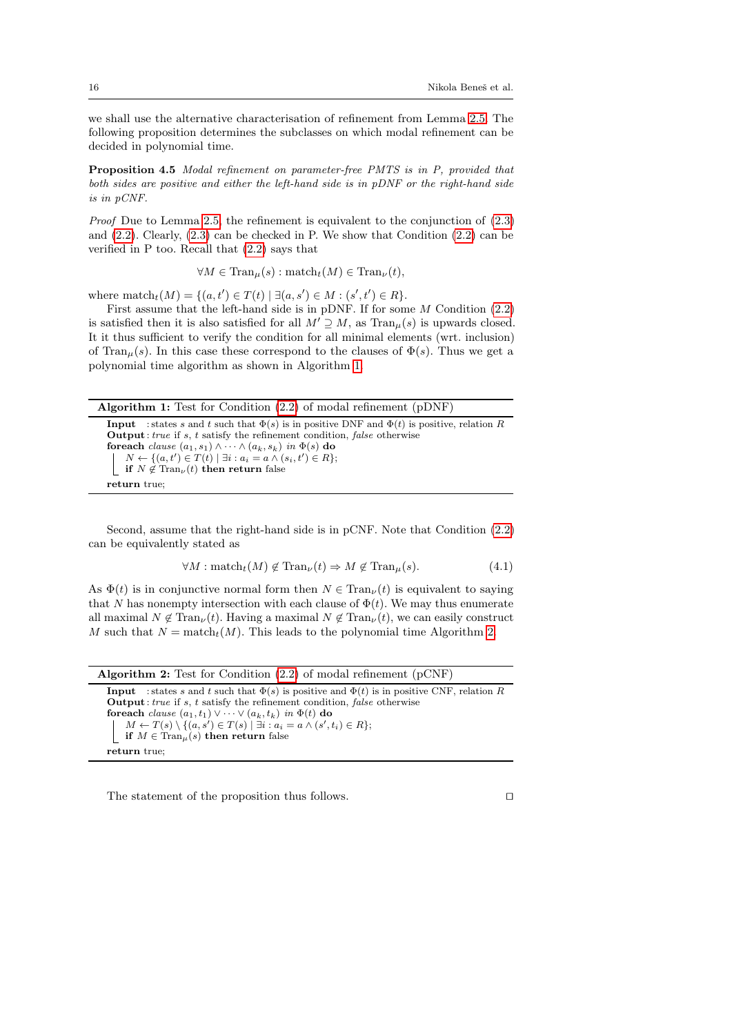we shall use the alternative characterisation of refinement from Lemma [2.5.](#page-6-3) The following proposition determines the subclasses on which modal refinement can be decided in polynomial time.

Proposition 4.5 Modal refinement on parameter-free PMTS is in P, provided that both sides are positive and either the left-hand side is in pDNF or the right-hand side is in pCNF.

Proof Due to Lemma [2.5,](#page-6-3) the refinement is equivalent to the conjunction of [\(2.3\)](#page-7-3) and  $(2.2)$ . Clearly,  $(2.3)$  can be checked in P. We show that Condition  $(2.2)$  can be verified in P too. Recall that [\(2.2\)](#page-6-2) says that

$$
\forall M \in \text{Tran}_{\mu}(s) : \text{match}_{t}(M) \in \text{Tran}_{\nu}(t),
$$

where  $\text{match}_t(M) = \{(a, t') \in T(t) \mid \exists (a, s') \in M : (s', t') \in R\}.$ 

First assume that the left-hand side is in pDNF. If for some M Condition [\(2.2\)](#page-6-2) is satisfied then it is also satisfied for all  $M' \supseteq M$ , as  $\text{Tran}_{\mu}(s)$  is upwards closed. It it thus sufficient to verify the condition for all minimal elements (wrt. inclusion) of Tran<sub>u</sub>(s). In this case these correspond to the clauses of  $\Phi(s)$ . Thus we get a polynomial time algorithm as shown in Algorithm [1.](#page-15-0)

Algorithm 1: Test for Condition [\(2.2\)](#page-6-2) of modal refinement (pDNF)

**Input** : states s and t such that  $\Phi(s)$  is in positive DNF and  $\Phi(t)$  is positive, relation R  $Output: true if s, t satisfy the refinement condition, false otherwise$ foreach *clause*  $(a_1, s_1) \wedge \cdots \wedge (a_k, s_k)$  *in*  $\Phi(s)$  do  $N \leftarrow \{(a, t') \in T(t) \mid \exists i : a_i = a \land (s_i, t') \in R\};$ if  $N \notin \text{Tran}_{\nu}(t)$  then return false return true;

<span id="page-15-0"></span>Second, assume that the right-hand side is in pCNF. Note that Condition [\(2.2\)](#page-6-2) can be equivalently stated as

$$
\forall M : \text{match}_t(M) \notin \text{Tran}_{\nu}(t) \Rightarrow M \notin \text{Tran}_{\mu}(s). \tag{4.1}
$$

As  $\Phi(t)$  is in conjunctive normal form then  $N \in \text{Tran}_{\nu}(t)$  is equivalent to saying that N has nonempty intersection with each clause of  $\Phi(t)$ . We may thus enumerate all maximal  $N \notin \text{Tran}_{\nu}(t)$ . Having a maximal  $N \notin \text{Tran}_{\nu}(t)$ , we can easily construct M such that  $N = \text{match}_t(M)$ . This leads to the polynomial time Algorithm [2.](#page-15-1)

| <b>Algorithm 2:</b> Test for Condition $(2.2)$ of modal refinement $(pCNF)$                                |
|------------------------------------------------------------------------------------------------------------|
| <b>Input</b> : states s and t such that $\Phi(s)$ is positive and $\Phi(t)$ is in positive CNF, relation R |
| <b>Output</b> : <i>true</i> if s, t satisfy the refinement condition, <i>false</i> otherwise               |
| <b>foreach</b> clause $(a_1, t_1) \vee \cdots \vee (a_k, t_k)$ in $\Phi(t)$ do                             |
| $M \leftarrow T(s) \setminus \{(a, s') \in T(s) \mid \exists i : a_i = a \land (s', t_i) \in R\};$         |
| if $M \in \text{Tran}_{\mu}(s)$ then return false                                                          |
| return true:                                                                                               |

<span id="page-15-1"></span>The statement of the proposition thus follows.  $\Box$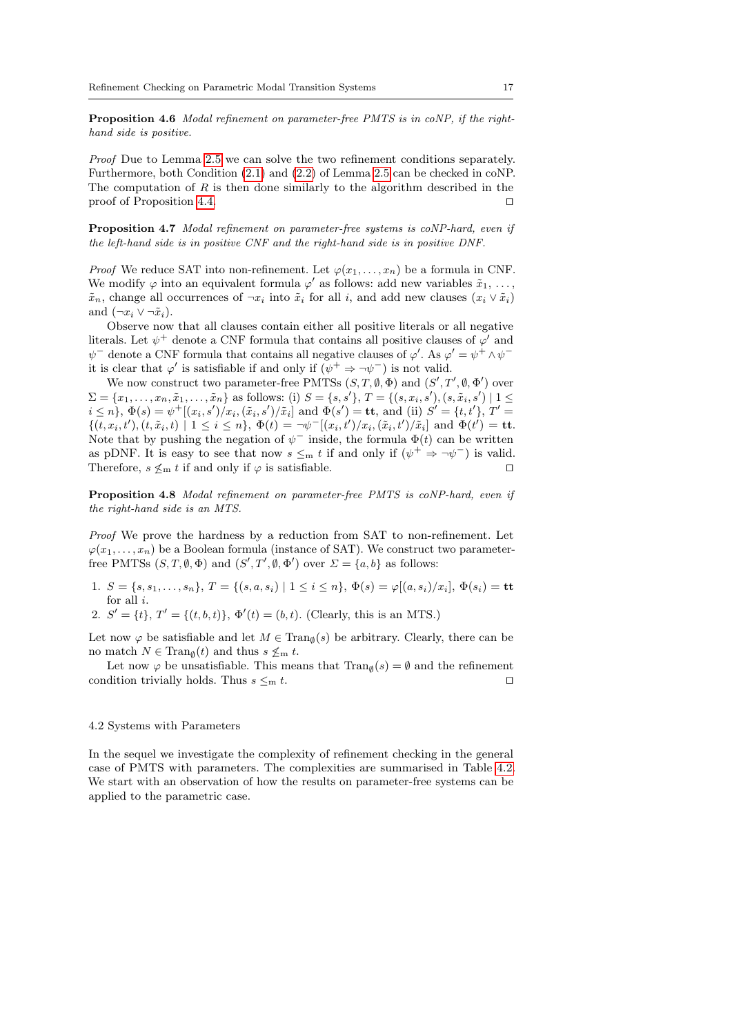Proposition 4.6 Modal refinement on parameter-free PMTS is in coNP, if the righthand side is positive.

Proof Due to Lemma [2.5](#page-6-3) we can solve the two refinement conditions separately. Furthermore, both Condition [\(2.1\)](#page-6-1) and [\(2.2\)](#page-6-2) of Lemma [2.5](#page-6-3) can be checked in coNP. The computation of  $R$  is then done similarly to the algorithm described in the proof of Proposition [4.4.](#page-14-1)  $\Box$ 

Proposition 4.7 Modal refinement on parameter-free systems is coNP-hard, even if the left-hand side is in positive CNF and the right-hand side is in positive DNF.

*Proof* We reduce SAT into non-refinement. Let  $\varphi(x_1, \ldots, x_n)$  be a formula in CNF. We modify  $\varphi$  into an equivalent formula  $\varphi'$  as follows: add new variables  $\tilde{x}_1, \ldots,$  $\tilde{x}_n$ , change all occurrences of  $\neg x_i$  into  $\tilde{x}_i$  for all i, and add new clauses  $(x_i \vee \tilde{x}_i)$ and  $(\neg x_i \vee \neg \tilde{x}_i)$ .

Observe now that all clauses contain either all positive literals or all negative literals. Let  $\psi^+$  denote a CNF formula that contains all positive clauses of  $\varphi'$  and  $\psi^-$  denote a CNF formula that contains all negative clauses of  $\varphi'$ . As  $\varphi' = \psi^+ \wedge \psi^$ it is clear that  $\varphi'$  is satisfiable if and only if  $(\psi^+ \Rightarrow \neg \psi^-)$  is not valid.

We now construct two parameter-free PMTSs  $(S, T, \emptyset, \Phi)$  and  $(S', T', \emptyset, \Phi')$  over  $\Sigma = \{x_1, \ldots, x_n, \tilde{x}_1, \ldots, \tilde{x}_n\}$  as follows: (i)  $S = \{s, s'\}, T = \{(s, x_i, s'), (s, \tilde{x}_i, s') \mid 1 \leq$  $i \leq n$ ,  $\Phi(s) = \psi^+[(x_i, s')/x_i, (\tilde{x}_i, s')/\tilde{x}_i]$  and  $\Phi(s') = \mathbf{t}\mathbf{t}$ , and (ii)  $S' = \{t, t'\}$ ,  $T' =$  $\{(t, x_i, t'), (t, \tilde{x}_i, t) \mid 1 \leq i \leq n\}, \ \Phi(t) = \neg \psi^{-}[(x_i, t') / x_i, (\tilde{x}_i, t') / \tilde{x}_i] \text{ and } \Phi(t') = \textbf{t}\mathbf{t}.$ Note that by pushing the negation of  $\psi^-$  inside, the formula  $\Phi(t)$  can be written as pDNF. It is easy to see that now  $s \leq_m t$  if and only if  $(\psi^+ \Rightarrow \neg \psi^-)$  is valid. Therefore,  $s \nleq_m t$  if and only if  $\varphi$  is satisfiable.

Proposition 4.8 Modal refinement on parameter-free PMTS is coNP-hard, even if the right-hand side is an MTS.

Proof We prove the hardness by a reduction from SAT to non-refinement. Let  $\varphi(x_1, \ldots, x_n)$  be a Boolean formula (instance of SAT). We construct two parameterfree PMTSs  $(S, T, \emptyset, \Phi)$  and  $(S', T', \emptyset, \Phi')$  over  $\Sigma = \{a, b\}$  as follows:

1.  $S = \{s, s_1, \ldots, s_n\}, T = \{(s, a, s_i) \mid 1 \leq i \leq n\}, \Phi(s) = \varphi[(a, s_i)/x_i], \Phi(s_i) = \mathbf{t}\mathbf{t}$ for all i.

2.  $S' = \{t\}, T' = \{(t, b, t)\}, \Phi'(t) = (b, t).$  (Clearly, this is an MTS.)

Let now  $\varphi$  be satisfiable and let  $M \in \text{Tran}_{\emptyset}(s)$  be arbitrary. Clearly, there can be no match  $N \in \text{Tran}_{\emptyset}(t)$  and thus  $s \nleq_m t$ .

Let now  $\varphi$  be unsatisfiable. This means that  $\text{Tran}_{\emptyset}(s) = \emptyset$  and the refinement condition trivially holds. Thus  $s \leq_m t$ .

### 4.2 Systems with Parameters

In the sequel we investigate the complexity of refinement checking in the general case of PMTS with parameters. The complexities are summarised in Table [4.2.](#page-17-0) We start with an observation of how the results on parameter-free systems can be applied to the parametric case.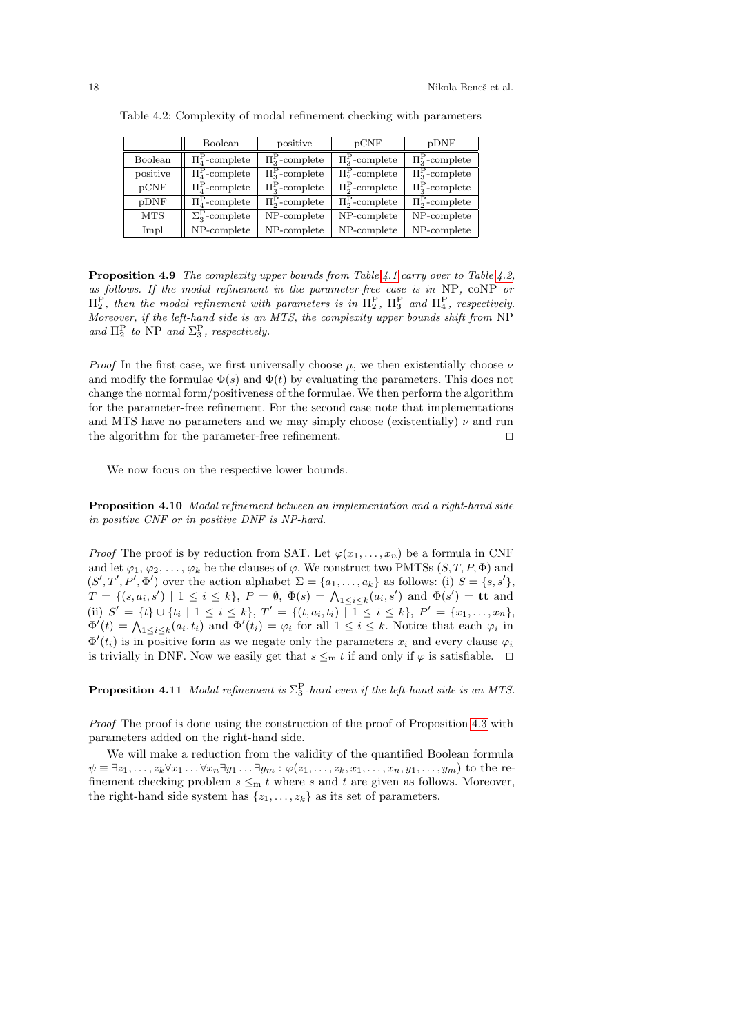|            | Boolean                         | positive                    | pCNF                        | pDNF                                 |
|------------|---------------------------------|-----------------------------|-----------------------------|--------------------------------------|
| Boolean    | $\Pi_4^{\rm P}$ -complete       | $\Pi^{\rm P}_{3}$ -complete | $\Pi^{\rm P}_{3}$ -complete | $\Pi_3^{\rm P}$ -complete            |
| positive   | $\Pi^{\rm P}_4$ -complete       | $\Pi^{\rm P}_{3}$ -complete | $\Pi_2^{\rm P}$ -complete   | $\overline{\Pi_3^{\rm P}}$ -complete |
| pCNF       | $\Pi_4^{\rm P}$ -complete       | $\Pi_3^{\rm P}$ -complete   | $\Pi_2^{\rm P}$ -complete   | $\Pi_3^{\rm P}$ -complete            |
| pDNF       | $\Pi^{\rm P}_{\rm A}$ -complete | $\Pi^{\rm P}_{2}$ -complete | $\Pi_2^{\rm P}$ -complete   | $\Pi^{\rm P}_{2}$ -complete          |
| <b>MTS</b> | $\Sigma_3^{\rm P}$ -complete    | NP-complete                 | NP-complete                 | NP-complete                          |
| Impl       | NP-complete                     | NP-complete                 | NP-complete                 | NP-complete                          |

<span id="page-17-0"></span>Table 4.2: Complexity of modal refinement checking with parameters

Proposition 4.9 The complexity upper bounds from Table [4.1](#page-13-0) carry over to Table [4.2,](#page-17-0) as follows. If the modal refinement in the parameter-free case is in NP, coNP or  $\Pi_2^{\text{P}}$ , then the modal refinement with parameters is in  $\Pi_2^{\text{P}}$ ,  $\Pi_3^{\text{P}}$  and  $\Pi_4^{\text{P}}$ , respectively. Moreover, if the left-hand side is an MTS, the complexity upper bounds shift from NP and  $\Pi_2^{\rm P}$  to NP and  $\Sigma_3^{\rm P}$ , respectively.

*Proof* In the first case, we first universally choose  $\mu$ , we then existentially choose  $\nu$ and modify the formulae  $\Phi(s)$  and  $\Phi(t)$  by evaluating the parameters. This does not change the normal form/positiveness of the formulae. We then perform the algorithm for the parameter-free refinement. For the second case note that implementations and MTS have no parameters and we may simply choose (existentially)  $\nu$  and run the algorithm for the parameter-free refinement.  $\Box$ 

We now focus on the respective lower bounds.

Proposition 4.10 Modal refinement between an implementation and a right-hand side in positive CNF or in positive DNF is NP-hard.

*Proof* The proof is by reduction from SAT. Let  $\varphi(x_1, \ldots, x_n)$  be a formula in CNF and let  $\varphi_1, \varphi_2, \ldots, \varphi_k$  be the clauses of  $\varphi$ . We construct two PMTSs  $(S, T, P, \Phi)$  and  $(S', T', P', \Phi')$  over the action alphabet  $\Sigma = \{a_1, \ldots, a_k\}$  as follows: (i)  $S = \{s, s'\},$  $T = \{(s, a_i, s') \mid 1 \leq i \leq k\},\ P = \emptyset, \ \Phi(s) = \bigwedge_{1 \leq i \leq k} (a_i, s') \text{ and } \Phi(s') = \mathbf{t} \mathbf{t} \text{ and }$ (ii)  $S' = \{t\} \cup \{t_i \mid 1 \leq i \leq k\}, T' = \{(t, a_i, t_i) \mid 1 \leq i \leq k\}, P' = \{x_1, \ldots, x_n\},$  $\Phi'(t) = \bigwedge_{1 \leq i \leq k} (a_i, t_i)$  and  $\Phi'(t_i) = \varphi_i$  for all  $1 \leq i \leq k$ . Notice that each  $\varphi_i$  in  $\Phi'(t_i)$  is in positive form as we negate only the parameters  $x_i$  and every clause  $\varphi_i$ is trivially in DNF. Now we easily get that  $s \leq_m t$  if and only if  $\varphi$  is satisfiable.  $\Box$ 

**Proposition 4.11** Modal refinement is  $\Sigma_3^P$ -hard even if the left-hand side is an MTS.

Proof The proof is done using the construction of the proof of Proposition [4.3](#page-13-1) with parameters added on the right-hand side.

We will make a reduction from the validity of the quantified Boolean formula  $\psi \equiv \exists z_1, \ldots, z_k \forall x_1 \ldots \forall x_n \exists y_1 \ldots \exists y_m : \varphi(z_1, \ldots, z_k, x_1, \ldots, x_n, y_1, \ldots, y_m)$  to the refinement checking problem  $s \leq m t$  where s and t are given as follows. Moreover, the right-hand side system has  $\{z_1, \ldots, z_k\}$  as its set of parameters.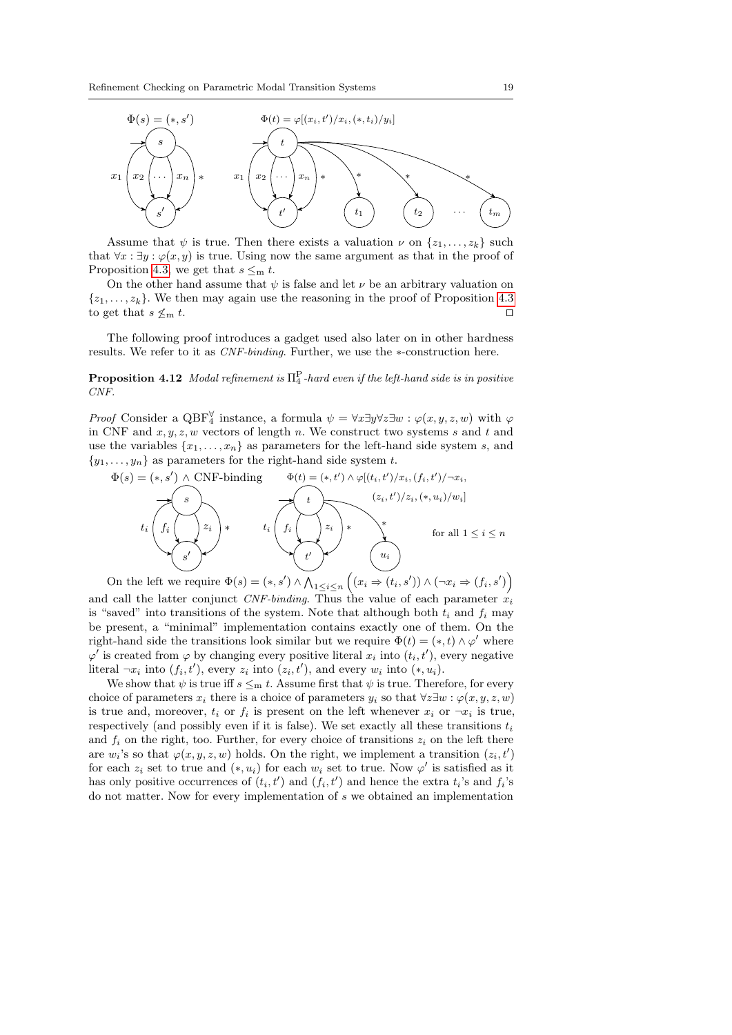

Assume that  $\psi$  is true. Then there exists a valuation  $\nu$  on  $\{z_1, \ldots, z_k\}$  such that  $\forall x : \exists y : \varphi(x, y)$  is true. Using now the same argument as that in the proof of Proposition [4.3,](#page-13-1) we get that  $s \leq_m t$ .

On the other hand assume that  $\psi$  is false and let  $\nu$  be an arbitrary valuation on  $\{z_1, \ldots, z_k\}$ . We then may again use the reasoning in the proof of Proposition [4.3](#page-13-1) to get that  $s \nleq_m t$ .

The following proof introduces a gadget used also later on in other hardness results. We refer to it as CNF-binding. Further, we use the ∗-construction here.

## <span id="page-18-0"></span>**Proposition 4.12** Modal refinement is  $\Pi_4^{\text{P}}$ -hard even if the left-hand side is in positive CNF.

*Proof* Consider a QBF<sup> $\forall$ </sup> instance, a formula  $\psi = \forall x \exists y \forall z \exists w : \varphi(x, y, z, w)$  with  $\varphi$ in CNF and  $x, y, z, w$  vectors of length n. We construct two systems s and t and use the variables  $\{x_1, \ldots, x_n\}$  as parameters for the left-hand side system s, and  $\{y_1, \ldots, y_n\}$  as parameters for the right-hand side system t.

$$
\Phi(s) = (*, s') \wedge CNF\text{-binding} \qquad \Phi(t) = (*, t') \wedge \varphi[(t_i, t')/x_i, (f_i, t')/\neg x_i, (f_i, t')/x_i, (f_i, t')/\neg x_i, (f_i, t')/x_i, (f_i, t')/x_i, (f_i, t')/\neg x_i, (f_i, t')/x_i, (f_i, t')/x_i, (f_i, t')/x_i, (f_i, t')/x_i, (f_i, t')/x_i, (f_i, t')/x_i, (f_i, t')/x_i, (f_i, t')/x_i, (f_i, t')/x_i, (f_i, t')/x_i, (f_i, t')/x_i, (f_i, t')/x_i, (f_i, t')/x_i, (f_i, t')/x_i, (f_i, t')/x_i, (f_i, t')/x_i, (f_i, t')/x_i, (f_i, t')/x_i, (f_i, t')/x_i, (f_i, t')/x_i, (f_i, t')/x_i, (f_i, t')/x_i, (f_i, t')/x_i, (f_i, t')/x_i, (f_i, t')/x_i, (f_i, t')/x_i, (f_i, t')/x_i, (f_i, t')/x_i, (f_i, t')/x_i, (f_i, t')/x_i, (f_i, t')/x_i, (f_i, t')/x_i, (f_i, t')/x_i, (f_i, t')/x_i, (f_i, t')/x_i, (f_i, t')/x_i, (f_i, t')/x_i, (f_i, t')/x_i, (f_i, t')/x_i, (f_i, t')/x_i, (f_i, t')/x_i, (f_i, t')/x_i, (f_i, t')/x_i, (f_i, t')/x_i, (f_i, t')/x_i, (f_i, t')/x_i, (f_i, t')/x_i, (f_i, t')/x_i, (f_i, t')/x_i, (f_i, t')/x_i, (f_i, t')/x_i, (f_i, t')/x_i, (f_i, t')/x_i, (f_i, t')/x_i, (f_i, t')/x_i, (f_i, t')/x_i, (f_i, t')/x_i, (f_i, t')/x_i, (f_i, t')/x_i, (f_i, t')/x_i, (f_i, t')/x_i, (f_i, t')/x_i, (f_i, t')/x_i, (f_i, t')/x_i, (f_i, t')/x_i,
$$

On the left we require  $\Phi(s) = (*, s') \wedge \bigwedge_{1 \leq i \leq n} ((x_i \Rightarrow (t_i, s')) \wedge (\neg x_i \Rightarrow (f_i, s'))$ and call the latter conjunct CNF-binding. Thus the value of each parameter  $x_i$ is "saved" into transitions of the system. Note that although both  $t_i$  and  $f_i$  may be present, a "minimal" implementation contains exactly one of them. On the right-hand side the transitions look similar but we require  $\Phi(t) = (*, t) \wedge \varphi'$  where  $\varphi'$  is created from  $\varphi$  by changing every positive literal  $x_i$  into  $(t_i, t')$ , every negative literal  $\neg x_i$  into  $(f_i, t')$ , every  $z_i$  into  $(z_i, t')$ , and every  $w_i$  into  $(*, u_i)$ .

We show that  $\psi$  is true iff  $s \leq_m t$ . Assume first that  $\psi$  is true. Therefore, for every choice of parameters  $x_i$  there is a choice of parameters  $y_i$  so that  $\forall z \exists w : \varphi(x, y, z, w)$ is true and, moreover,  $t_i$  or  $f_i$  is present on the left whenever  $x_i$  or  $\neg x_i$  is true, respectively (and possibly even if it is false). We set exactly all these transitions  $t_i$ and  $f_i$  on the right, too. Further, for every choice of transitions  $z_i$  on the left there are  $w_i$ 's so that  $\varphi(x, y, z, w)$  holds. On the right, we implement a transition  $(z_i, t')$ for each  $z_i$  set to true and  $(*, u_i)$  for each  $w_i$  set to true. Now  $\varphi'$  is satisfied as it has only positive occurrences of  $(t_i, t')$  and  $(f_i, t')$  and hence the extra  $t_i$ 's and  $f_i$ 's do not matter. Now for every implementation of s we obtained an implementation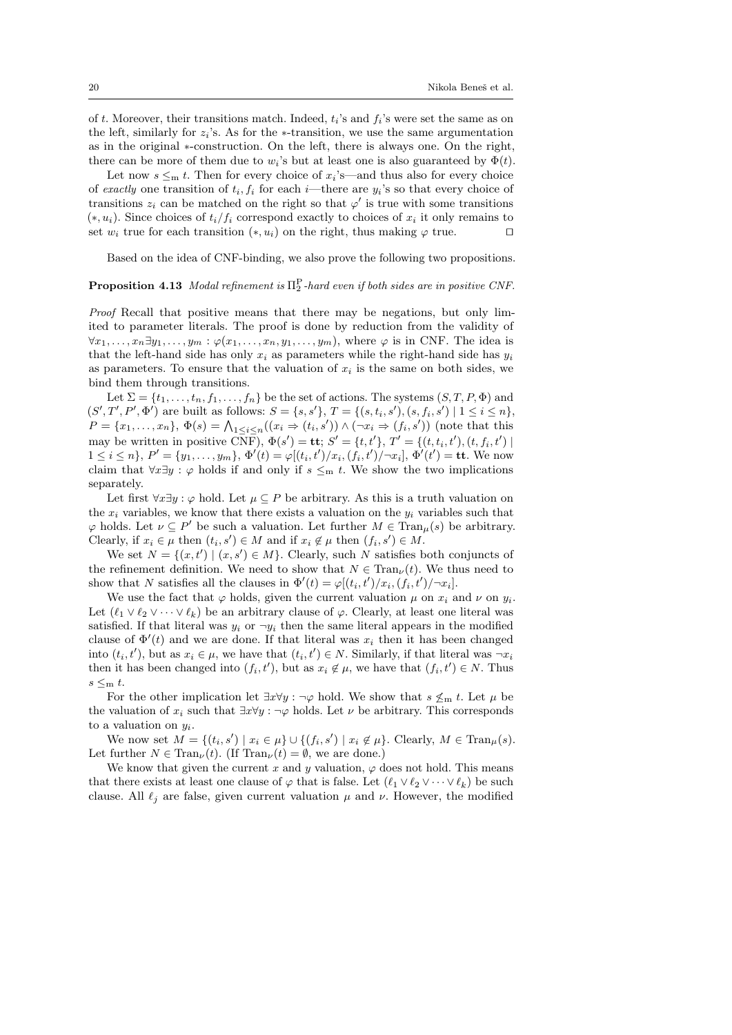of t. Moreover, their transitions match. Indeed,  $t_i$ 's and  $f_i$ 's were set the same as on the left, similarly for  $z_i$ 's. As for the ∗-transition, we use the same argumentation as in the original ∗-construction. On the left, there is always one. On the right, there can be more of them due to  $w_i$ 's but at least one is also guaranteed by  $\Phi(t)$ .

Let now  $s \leq_m t$ . Then for every choice of  $x_i$ 's—and thus also for every choice of exactly one transition of  $t_i, f_i$  for each *i*—there are  $y_i$ 's so that every choice of transitions  $z_i$  can be matched on the right so that  $\varphi'$  is true with some transitions  $(*, u_i)$ . Since choices of  $t_i/f_i$  correspond exactly to choices of  $x_i$  it only remains to set  $w_i$  true for each transition  $(*, u_i)$  on the right, thus making  $\varphi$  true.  $\square$ 

Based on the idea of CNF-binding, we also prove the following two propositions.

## <span id="page-19-0"></span>**Proposition 4.13** Modal refinement is  $\Pi_2^{\text{P}}$ -hard even if both sides are in positive CNF.

Proof Recall that positive means that there may be negations, but only limited to parameter literals. The proof is done by reduction from the validity of  $\forall x_1, \ldots, x_n \exists y_1, \ldots, y_m : \varphi(x_1, \ldots, x_n, y_1, \ldots, y_m)$ , where  $\varphi$  is in CNF. The idea is that the left-hand side has only  $x_i$  as parameters while the right-hand side has  $y_i$ as parameters. To ensure that the valuation of  $x_i$  is the same on both sides, we bind them through transitions.

Let  $\Sigma = \{t_1, \ldots, t_n, f_1, \ldots, f_n\}$  be the set of actions. The systems  $(S, T, P, \Phi)$  and  $(S', T', P', \Phi')$  are built as follows:  $S = \{s, s'\}, T = \{(s, t_i, s'), (s, t_i, s') \mid 1 \leq i \leq n\},$  $P = \{x_1, \ldots, x_n\}, \Phi(s) = \bigwedge_{1 \leq i \leq n} ((x_i \Rightarrow (t_i, s')) \land (\neg x_i \Rightarrow (f_i, s'))$  (note that this may be written in positive  $\bar{CNF}$ ,  $\Phi(s') = \mathbf{tt}$ ;  $S' = \{t, t'\}$ ,  $T' = \{(t, t_i, t'), (t, f_i, t')\}$  $1 \leq i \leq n$ ,  $P' = \{y_1, \ldots, y_m\}, \Phi'(t) = \varphi[(t_i, t')/x_i, (f_i, t')/\neg x_i], \Phi'(t') = \textbf{tt}$ . We now claim that  $\forall x \exists y : \varphi$  holds if and only if  $s \leq m$  t. We show the two implications separately.

Let first ∀x∃y :  $\varphi$  hold. Let  $\mu \subseteq P$  be arbitrary. As this is a truth valuation on the  $x_i$  variables, we know that there exists a valuation on the  $y_i$  variables such that  $\varphi$  holds. Let  $\nu \subseteq P'$  be such a valuation. Let further  $M \in \text{Tran}_{\mu}(s)$  be arbitrary. Clearly, if  $x_i \in \mu$  then  $(t_i, s') \in M$  and if  $x_i \notin \mu$  then  $(f_i, s') \in M$ .

We set  $N = \{(x, t') | (x, s') \in M\}$ . Clearly, such N satisfies both conjuncts of the refinement definition. We need to show that  $N \in \text{Tran}_{\nu}(t)$ . We thus need to show that N satisfies all the clauses in  $\Phi'(t) = \varphi[(t_i, t')/x_i, (f_i, t')/\neg x_i].$ 

We use the fact that  $\varphi$  holds, given the current valuation  $\mu$  on  $x_i$  and  $\nu$  on  $y_i$ . Let  $(\ell_1 \vee \ell_2 \vee \cdots \vee \ell_k)$  be an arbitrary clause of  $\varphi$ . Clearly, at least one literal was satisfied. If that literal was  $y_i$  or  $\neg y_i$  then the same literal appears in the modified clause of  $\Phi'(t)$  and we are done. If that literal was  $x_i$  then it has been changed into  $(t_i, t')$ , but as  $x_i \in \mu$ , we have that  $(t_i, t') \in N$ . Similarly, if that literal was  $\neg x_i$ then it has been changed into  $(f_i, t')$ , but as  $x_i \notin \mu$ , we have that  $(f_i, t') \in N$ . Thus  $s \leq m$  t.

For the other implication let  $\exists x \forall y : \neg \varphi$  hold. We show that  $s \nleq_m t$ . Let  $\mu$  be the valuation of  $x_i$  such that  $\exists x \forall y : \neg \varphi$  holds. Let  $\nu$  be arbitrary. This corresponds to a valuation on  $y_i$ .

We now set  $M = \{(t_i, s') \mid x_i \in \mu\} \cup \{(f_i, s') \mid x_i \notin \mu\}$ . Clearly,  $M \in \text{Tran}_{\mu}(s)$ . Let further  $N \in \text{Tran}_{\nu}(t)$ . (If  $\text{Tran}_{\nu}(t) = \emptyset$ , we are done.)

We know that given the current x and y valuation,  $\varphi$  does not hold. This means that there exists at least one clause of  $\varphi$  that is false. Let  $(\ell_1 \vee \ell_2 \vee \cdots \vee \ell_k)$  be such clause. All  $\ell_j$  are false, given current valuation  $\mu$  and  $\nu$ . However, the modified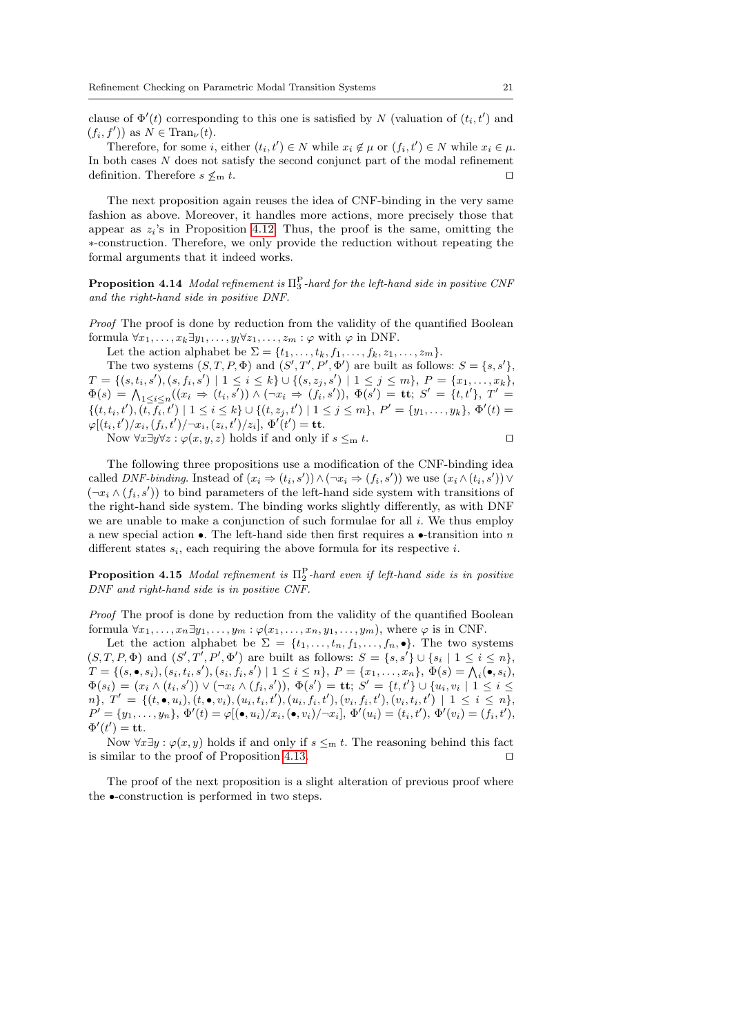clause of  $\Phi'(t)$  corresponding to this one is satisfied by N (valuation of  $(t_i, t')$ ) and  $(f_i, f'))$  as  $N \in \text{Tran}_{\nu}(t)$ .

Therefore, for some *i*, either  $(t_i, t') \in N$  while  $x_i \notin \mu$  or  $(f_i, t') \in N$  while  $x_i \in \mu$ . In both cases N does not satisfy the second conjunct part of the modal refinement definition. Therefore  $s \nleq_m t$ .

The next proposition again reuses the idea of CNF-binding in the very same fashion as above. Moreover, it handles more actions, more precisely those that appear as  $z_i$ 's in Proposition [4.12.](#page-18-0) Thus, the proof is the same, omitting the ∗-construction. Therefore, we only provide the reduction without repeating the formal arguments that it indeed works.

**Proposition 4.14** Modal refinement is  $\Pi_3^{\text{P}}$ -hard for the left-hand side in positive CNF and the right-hand side in positive DNF.

Proof The proof is done by reduction from the validity of the quantified Boolean formula  $\forall x_1, \ldots, x_k \exists y_1, \ldots, y_l \forall z_1, \ldots, z_m : \varphi$  with  $\varphi$  in DNF.

Let the action alphabet be  $\Sigma = \{t_1, \ldots, t_k, f_1, \ldots, f_k, z_1, \ldots, z_m\}.$ 

The two systems  $(S, T, P, \Phi)$  and  $(S', T', P', \Phi')$  are built as follows:  $S = \{s, s'\},$  $T = \{(s, t_i, s'), (s, f_i, s') \mid 1 \leq i \leq k\} \cup \{(s, z_j, s') \mid 1 \leq j \leq m\}, P = \{x_1, \ldots, x_k\},$  $\Phi(s) \,=\, \bigwedge_{1\leq i\leq n} ((x_i \, \Rightarrow \, (t_i,s')) \land (\neg x_i \, \Rightarrow \, (\tilde{f_i},s')), \,\, \Phi(s') \,=\, \mathbf{tt}; \; S' \,=\, \{t,t'\}, \; T' \,=\, \mathbf{tt}$  $\{(t, t_i, t'), (t, \overline{f_i}, t') \mid 1 \le i \le k\} \cup \{(t, z_j, t') \mid 1 \le j \le m\}, P' = \{y_1, \ldots, y_k\}, \Phi'(t) =$  $\varphi[(t_i,t')/x_i, (f_i,t')/\neg x_i, (z_i,t')/z_i], \, \Phi'(t') = \mathbf{t} \mathbf{t}.$ 

Now  $\forall x \exists y \forall z : \varphi(x, y, z)$  holds if and only if  $s \leq_m t$ .

The following three propositions use a modification of the CNF-binding idea called DNF-binding. Instead of  $(x_i \Rightarrow (t_i, s')) \land (\neg x_i \Rightarrow (f_i, s'))$  we use  $(x_i \land (t_i, s')) \lor$  $(\neg x_i \land (f_i, s'))$  to bind parameters of the left-hand side system with transitions of the right-hand side system. The binding works slightly differently, as with DNF we are unable to make a conjunction of such formulae for all  $i$ . We thus employ a new special action •. The left-hand side then first requires a •-transition into n different states  $s_i$ , each requiring the above formula for its respective i.

**Proposition 4.15** Modal refinement is  $\Pi_2^{\text{P}}$ -hard even if left-hand side is in positive DNF and right-hand side is in positive CNF.

Proof The proof is done by reduction from the validity of the quantified Boolean formula  $\forall x_1, \ldots, x_n \exists y_1, \ldots, y_m : \varphi(x_1, \ldots, x_n, y_1, \ldots, y_m)$ , where  $\varphi$  is in CNF.

Let the action alphabet be  $\Sigma = \{t_1, \ldots, t_n, f_1, \ldots, f_n, \bullet\}.$  The two systems  $(S, T, P, \Phi)$  and  $(S', T', P', \Phi')$  are built as follows:  $S = \{s, s'\} \cup \{s_i \mid 1 \leq i \leq n\},$  $T = \{(s, \bullet, s_i), (s_i, t_i, s'), (s_i, f_i, s') \mid 1 \leq i \leq n\}, P = \{x_1, \ldots, x_n\}, \Phi(s) = \bigwedge_i (\bullet, s_i),$  $\Phi(s_i) = (x_i \wedge (t_i,s')) \vee (\neg x_i \wedge (f_i,s')), \ \Phi(s') = \mathbf{t} \mathbf{t}; \ S' = \{t,t'\} \cup \{u_i,v_i \mid 1 \leq i \leq n\})$  $n\},\; T' \;=\; \{(t,\bullet,u_i), (t,\bullet,v_i), (u_i,t_i,t'), (u_i,f_i,t'), (v_i,f_i,t'), (v_i,t_i,t')\; \;|\; \; 1 \; \leq \; i \; \leq \; n\},$  $P' = \{y_1, \ldots, y_n\}, \Phi'(t) = \varphi[(\bullet, u_i)/x_i, (\bullet, v_i)/\neg x_i], \Phi'(u_i) = (t_i, t'), \Phi'(v_i) = (f_i, t'),$  $\Phi'(t') = \mathbf{t}\mathbf{t}.$ 

Now  $\forall x \exists y : \varphi(x, y)$  holds if and only if  $s \leq m$  t. The reasoning behind this fact is similar to the proof of Proposition [4.13.](#page-19-0)  $\Box$ 

The proof of the next proposition is a slight alteration of previous proof where the •-construction is performed in two steps.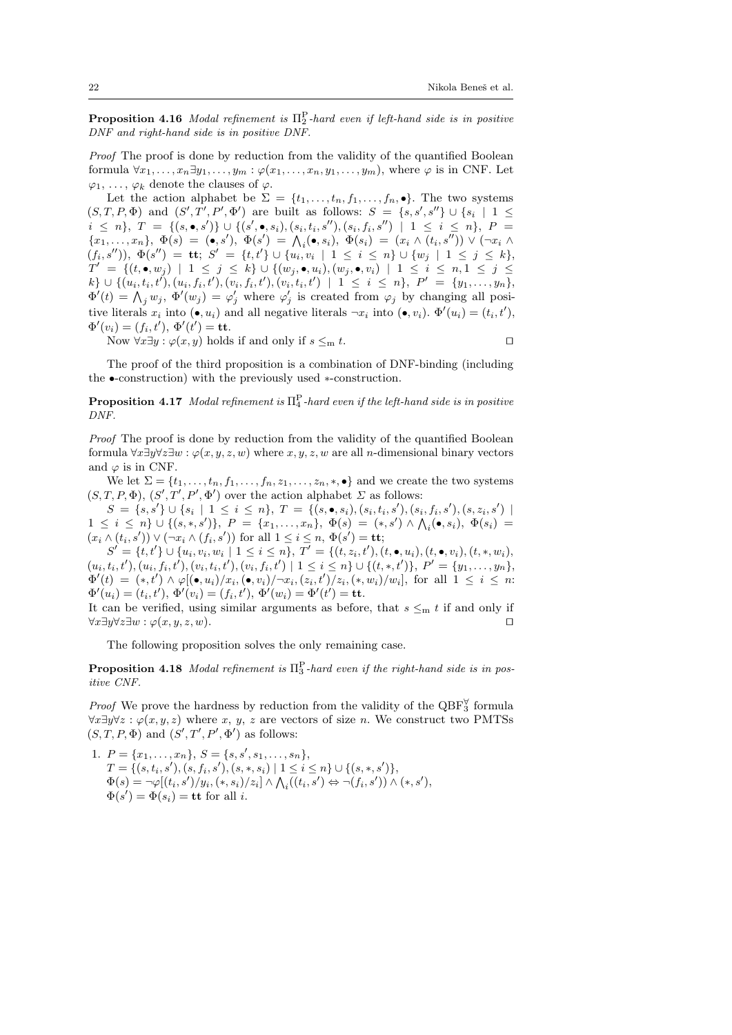**Proposition 4.16** Modal refinement is  $\Pi_2^{\text{P}}$ -hard even if left-hand side is in positive DNF and right-hand side is in positive DNF.

Proof The proof is done by reduction from the validity of the quantified Boolean formula  $\forall x_1, \ldots, x_n \exists y_1, \ldots, y_m : \varphi(x_1, \ldots, x_n, y_1, \ldots, y_m)$ , where  $\varphi$  is in CNF. Let  $\varphi_1, \ldots, \varphi_k$  denote the clauses of  $\varphi$ .

Let the action alphabet be  $\Sigma = \{t_1, \ldots, t_n, f_1, \ldots, f_n, \bullet\}$ . The two systems  $(S, T, P, \Phi)$  and  $(S', T', P', \Phi')$  are built as follows:  $S = \{s, s', s''\} \cup \{s_i | 1 \leq$  $i ~\leq~ n\}, ~ T ~ = ~ \{(s, \bullet, s')\} ~ \cup ~ \{(s', \bullet, s_i), (s_i, t_i, s''), (s_i, f_i, s'') ~\mid~ 1 ~\leq~ i ~\leq~ n\}, ~ P ~ =$  ${x_1, \ldots, x_n}, \ \Phi(s) = (\bullet, s'), \ \Phi(s') = \bigwedge_i (\bullet, s_i), \ \Phi(s_i) = (x_i \wedge (t_i, s'')) \vee (\neg x_i \wedge (t_i, s'))$  $(f_i,s''))\text{, }\Phi(s'') \text{ = } \mathbf{tt};\text{ }S' \text{ = } \{t,t'\}\cup\{u_i,v_i\text{ }|\text{ }1\leq i\leq n\}\cup\{w_j\text{ }|\text{ }1\leq j\leq k\},$  $T' = \{ (t, \bullet, w_j) \mid 1 \leq j \leq k \} \cup \{ (w_j, \bullet, u_i), (w_j, \bullet, v_i) \mid 1 \leq i \leq n, 1 \leq j \leq k \}$  $k\}\,\cup\,\{(\overline{u}_i,t_i,t'),(\overline{u}_i,f_i,t'),(\overline{v}_i,f_i,t'),(\overline{v}_i,t_i,t')\,\mid\,\,1\,\leq\,i\,\leq\,n\},\,\,P'\,\,=\,\,\{y_1,\dots,y_n\},$  $\Phi'(t) = \bigwedge_j w_j, \, \Phi'(w_j) = \varphi'_j$  where  $\varphi'_j$  is created from  $\varphi_j$  by changing all positive literals  $x_i$  into  $(\bullet, u_i)$  and all negative literals  $\neg x_i$  into  $(\bullet, v_i)$ .  $\Phi'(u_i) = (t_i, t'),$  $\Phi'(v_i) = (f_i, t'), \, \Phi'(t') = \textbf{tt}.$ 

Now  $\forall x \exists y : \varphi(x, y)$  holds if and only if  $s \leq_m t$ .

The proof of the third proposition is a combination of DNF-binding (including the •-construction) with the previously used ∗-construction.

**Proposition 4.17** Modal refinement is  $\Pi_4^{\text{P}}$ -hard even if the left-hand side is in positive DNF.

Proof The proof is done by reduction from the validity of the quantified Boolean formula  $\forall x \exists y \forall z \exists w : \varphi(x, y, z, w)$  where  $x, y, z, w$  are all *n*-dimensional binary vectors and  $\varphi$  is in CNF.

We let  $\Sigma = \{t_1, \ldots, t_n, f_1, \ldots, f_n, z_1, \ldots, z_n, \ldots\}$  and we create the two systems  $(S, T, P, \Phi), (S', T', P', \Phi')$  over the action alphabet  $\Sigma$  as follows:

 $S = \{s, s'\} \cup \{s_i \mid 1 \leq i \leq n\}, T = \{ (s, \bullet, s_i), (s_i, t_i, s'), (s_i, f_i, s'), (s, z_i, s') \mid$  $1 \leq i \leq n$   $\cup$   $\{(s,*,s')\}, P = \{x_1,\ldots,x_n\}, \Phi(s) = (*,s') \wedge \bigwedge_i (\bullet,s_i), \Phi(s_i) =$  $(x_i \wedge (t_i, s')) \vee (\neg x_i \wedge (f_i, s'))$  for all  $1 \leq i \leq n$ ,  $\Phi(s') = \mathbf{tt}$ ;

 $S' = \{t, t'\} \cup \{u_i, v_i, w_i \mid 1 \leq i \leq n\}, T' = \{ (t, z_i, t'), (t, \bullet, u_i), (t, \bullet, v_i), (t, \ast, w_i),$  $(u_i, t_i, t'), (u_i, f_i, t'), (v_i, t_i, t'), (v_i, f_i, t') \mid 1 \leq i \leq n$   $\cup$  { $(t, *, t')$ },  $P' = \{y_1, \ldots, y_n\}$ ,  $\Phi'(t) = (*, t') \wedge \varphi[(\bullet, u_i)/x_i, (\bullet, v_i)/\neg x_i, (z_i, t')/z_i, (*, w_i)/w_i], \text{ for all } 1 \leq i \leq n$  $\Phi'(u_i) = (t_i, t'), \, \Phi'(v_i) = (f_i, t'), \, \Phi'(w_i) = \Phi'(t') = \mathbf{t}\mathbf{t}.$ 

It can be verified, using similar arguments as before, that  $s \leq m t$  if and only if  $\forall x \exists y \forall z \exists w : \varphi(x, y, z, w).$ 

The following proposition solves the only remaining case.

**Proposition 4.18** Modal refinement is  $\Pi_3^{\text{P}}$ -hard even if the right-hand side is in positive CNF.

*Proof* We prove the hardness by reduction from the validity of the  $QBF_3^{\forall}$  formula  $\forall x \exists y \forall z : \varphi(x, y, z)$  where x, y, z are vectors of size n. We construct two PMTSs  $(S, T, P, \Phi)$  and  $(S', T', P', \Phi')$  as follows:

1. 
$$
P = \{x_1, ..., x_n\}, S = \{s, s', s_1, ..., s_n\},
$$
  
\n $T = \{(s, t_i, s'), (s, t_i, s'), (s, *, s_i) | 1 \le i \le n\} \cup \{(s, *, s')\},$   
\n $\Phi(s) = \neg \varphi[(t_i, s')/y_i, (*, s_i)/z_i] \wedge \bigwedge_i((t_i, s') \Leftrightarrow \neg(f_i, s')) \wedge (*, s'),$   
\n $\Phi(s') = \Phi(s_i) = \text{tt for all } i.$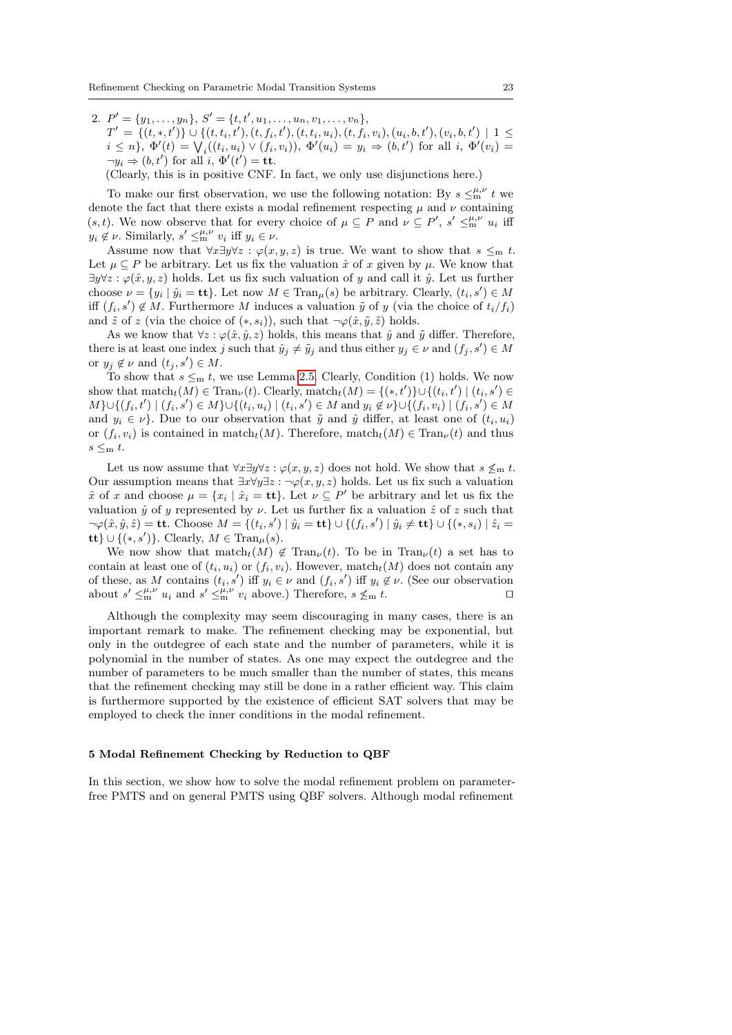2.  $P' = \{y_1, \ldots, y_n\}, S' = \{t, t', u_1, \ldots, u_n, v_1, \ldots, v_n\},\$  $T' = \{(t,*,t')\} \cup \{(t,t_i,t'),(t,f_i,t'),(t,t_i,u_i),(t,f_i,v_i),(u_i,b,t'),(v_i,b,t') \mid 1 \leq$  $i \leq n$ ,  $\Phi'(t) = \bigvee_i ((t_i, u_i) \vee (f_i, v_i)), \, \Phi'(u_i) = y_i \Rightarrow (b, t')$  for all  $i, \, \Phi'(v_i) =$  $\neg y_i \Rightarrow (b, t')$  for all  $i, \Phi'(t') = \mathbf{t}\mathbf{t}.$ 

(Clearly, this is in positive CNF. In fact, we only use disjunctions here.)

To make our first observation, we use the following notation: By  $s \leq_m^{\mu,\nu} t$  we denote the fact that there exists a modal refinement respecting  $\mu$  and  $\nu$  containing (s, t). We now observe that for every choice of  $\mu \subseteq P$  and  $\nu \subseteq P'$ ,  $s' \leq_m^{\mu,\nu} u_i$  iff  $y_i \notin \nu$ . Similarly,  $s' \leq_m^{\mu,\nu} v_i$  iff  $y_i \in \nu$ .

Assume now that  $\forall x \exists y \forall z : \varphi(x, y, z)$  is true. We want to show that  $s \leq_m t$ . Let  $\mu \subseteq P$  be arbitrary. Let us fix the valuation  $\hat{x}$  of x given by  $\mu$ . We know that  $\exists y \forall z : \varphi(\hat{x}, y, z)$  holds. Let us fix such valuation of y and call it  $\hat{y}$ . Let us further choose  $\nu = \{y_i \mid \hat{y}_i = \mathbf{tt}\}\.$  Let now  $M \in \text{Tran}_{\mu}(s)$  be arbitrary. Clearly,  $(t_i, s') \in M$ iff  $(f_i, s') \notin M$ . Furthermore M induces a valuation  $\tilde{y}$  of y (via the choice of  $t_i/f_i$ ) and  $\tilde{z}$  of z (via the choice of  $(*, s_i)$ ), such that  $\neg \varphi(\hat{x}, \tilde{y}, \tilde{z})$  holds.

As we know that  $\forall z : \varphi(\hat{x}, \hat{y}, z)$  holds, this means that  $\hat{y}$  and  $\tilde{y}$  differ. Therefore, there is at least one index j such that  $\hat{y}_j \neq \tilde{y}_j$  and thus either  $y_j \in \nu$  and  $(f_j, s') \in M$ or  $y_j \notin \nu$  and  $(t_j, s') \in M$ .

To show that  $s \leq_m t$ , we use Lemma [2.5.](#page-6-3) Clearly, Condition (1) holds. We now show that  $\text{match}_t(M) \in \text{Tran}_{\nu}(t)$ . Clearly,  $\text{match}_t(M) = \{(*, t')\} \cup \{(t_i, t') \mid (t_i, s') \in$  $M$ }∪{ $(f_i, t') | (f_i, s') \in M$ }∪{ $(t_i, u_i) | (t_i, s') \in M$  and  $y_i \notin \nu$ }∪{ $(f_i, v_i) | (f_i, s') \in M$ and  $y_i \in \nu$ . Due to our observation that  $\tilde{y}$  and  $\hat{y}$  differ, at least one of  $(t_i, u_i)$ or  $(f_i, v_i)$  is contained in match $_t(M)$ . Therefore, match $_t(M) \in \text{Tran}_{\nu}(t)$  and thus  $s \leq m$  t.

Let us now assume that  $\forall x \exists y \forall z : \varphi(x, y, z)$  does not hold. We show that  $s \leq_m t$ . Our assumption means that  $\exists x \forall y \exists z : \neg \varphi(x, y, z)$  holds. Let us fix such a valuation  $\hat{x}$  of x and choose  $\mu = \{x_i \mid \hat{x}_i = \mathbf{t}\}\.$  Let  $\nu \subseteq P'$  be arbitrary and let us fix the valuation  $\hat{y}$  of y represented by  $\nu$ . Let us further fix a valuation  $\hat{z}$  of z such that  $\neg\varphi(\hat{x}, \hat{y}, \hat{z}) = \textbf{tt}$ . Choose  $M = \{ (t_i, s') \mid \hat{y}_i = \textbf{tt} \} \cup \{ (f_i, s') \mid \hat{y}_i \neq \textbf{tt} \} \cup \{ (*, s_i) \mid \hat{z}_i =$ tt}  $\cup \{(*,s')\}$ . Clearly,  $M \in \text{Tran}_{\mu}(s)$ .

We now show that  $\text{match}_t(M) \notin \text{Tran}_{\nu}(t)$ . To be in  $\text{Tran}_{\nu}(t)$  a set has to contain at least one of  $(t_i, u_i)$  or  $(f_i, v_i)$ . However, match $_t(M)$  does not contain any of these, as M contains  $(t_i, s')$  iff  $y_i \in \nu$  and  $(f_i, s')$  iff  $y_i \notin \nu$ . (See our observation about  $s' \leq_m^{\mu,\nu} u_i$  and  $s' \leq_m^{\mu,\nu} v_i$  above.) Therefore,  $s \nleq_m t$ .

Although the complexity may seem discouraging in many cases, there is an important remark to make. The refinement checking may be exponential, but only in the outdegree of each state and the number of parameters, while it is polynomial in the number of states. As one may expect the outdegree and the number of parameters to be much smaller than the number of states, this means that the refinement checking may still be done in a rather efficient way. This claim is furthermore supported by the existence of efficient SAT solvers that may be employed to check the inner conditions in the modal refinement.

#### <span id="page-22-0"></span>5 Modal Refinement Checking by Reduction to QBF

In this section, we show how to solve the modal refinement problem on parameterfree PMTS and on general PMTS using QBF solvers. Although modal refinement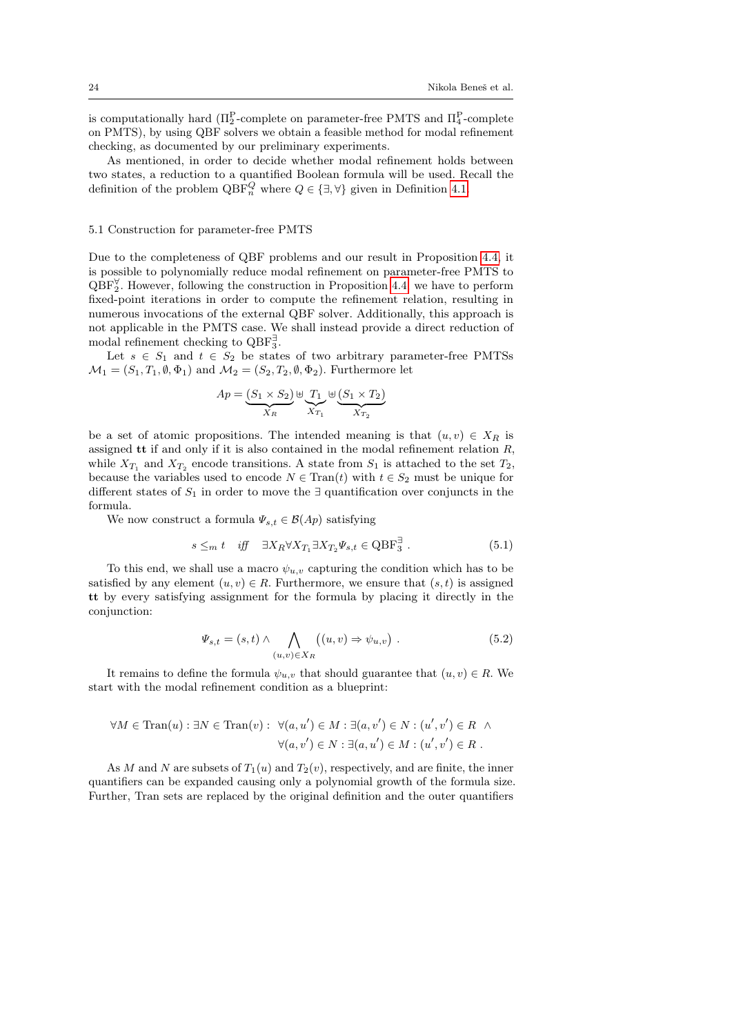is computationally hard  $(\Pi_2^{\text{P}}$ -complete on parameter-free PMTS and  $\Pi_4^{\text{P}}$ -complete on PMTS), by using QBF solvers we obtain a feasible method for modal refinement checking, as documented by our preliminary experiments.

As mentioned, in order to decide whether modal refinement holds between two states, a reduction to a quantified Boolean formula will be used. Recall the definition of the problem  $QBF_n^Q$  where  $Q \in \{\exists, \forall\}$  given in Definition [4.1.](#page-12-1)

#### 5.1 Construction for parameter-free PMTS

Due to the completeness of QBF problems and our result in Proposition [4.4,](#page-14-1) it is possible to polynomially reduce modal refinement on parameter-free PMTS to  $QBF_2^{\forall}$ . However, following the construction in Proposition [4.4,](#page-14-1) we have to perform fixed-point iterations in order to compute the refinement relation, resulting in numerous invocations of the external QBF solver. Additionally, this approach is not applicable in the PMTS case. We shall instead provide a direct reduction of modal refinement checking to  $QBF_3^{\exists}$ .

Let  $s \in S_1$  and  $t \in S_2$  be states of two arbitrary parameter-free PMTSs  $\mathcal{M}_1 = (S_1, T_1, \emptyset, \Phi_1)$  and  $\mathcal{M}_2 = (S_2, T_2, \emptyset, \Phi_2)$ . Furthermore let

$$
Ap = \underbrace{(S_1 \times S_2)}_{X_R} \uplus \underbrace{T_1}_{X_{T_1}} \uplus \underbrace{(S_1 \times T_2)}_{X_{T_2}}
$$

be a set of atomic propositions. The intended meaning is that  $(u, v) \in X_R$  is assigned  $tt$  if and only if it is also contained in the modal refinement relation  $R$ , while  $X_{T_1}$  and  $X_{T_2}$  encode transitions. A state from  $S_1$  is attached to the set  $T_2$ , because the variables used to encode  $N \in \text{Tran}(t)$  with  $t \in S_2$  must be unique for different states of  $S_1$  in order to move the ∃ quantification over conjuncts in the formula.

We now construct a formula  $\Psi_{s,t} \in \mathcal{B}(Ap)$  satisfying

$$
s \leq_m t \quad \text{iff} \quad \exists X_R \forall X_{T_1} \exists X_{T_2} \Psi_{s,t} \in \text{QBF}_3^{\exists} \ . \tag{5.1}
$$

To this end, we shall use a macro  $\psi_{u,v}$  capturing the condition which has to be satisfied by any element  $(u, v) \in R$ . Furthermore, we ensure that  $(s, t)$  is assigned tt by every satisfying assignment for the formula by placing it directly in the conjunction:

$$
\Psi_{s,t} = (s,t) \wedge \bigwedge_{(u,v) \in X_R} ((u,v) \Rightarrow \psi_{u,v}) . \tag{5.2}
$$

It remains to define the formula  $\psi_{u,v}$  that should guarantee that  $(u, v) \in R$ . We start with the modal refinement condition as a blueprint:

$$
\forall M \in \text{Tran}(u) : \exists N \in \text{Tran}(v) : \ \forall (a, u') \in M : \exists (a, v') \in N : (u', v') \in R \ \land \ \forall (a, v') \in N : \exists (a, u') \in M : (u', v') \in R \ .
$$

As M and N are subsets of  $T_1(u)$  and  $T_2(v)$ , respectively, and are finite, the inner quantifiers can be expanded causing only a polynomial growth of the formula size. Further, Tran sets are replaced by the original definition and the outer quantifiers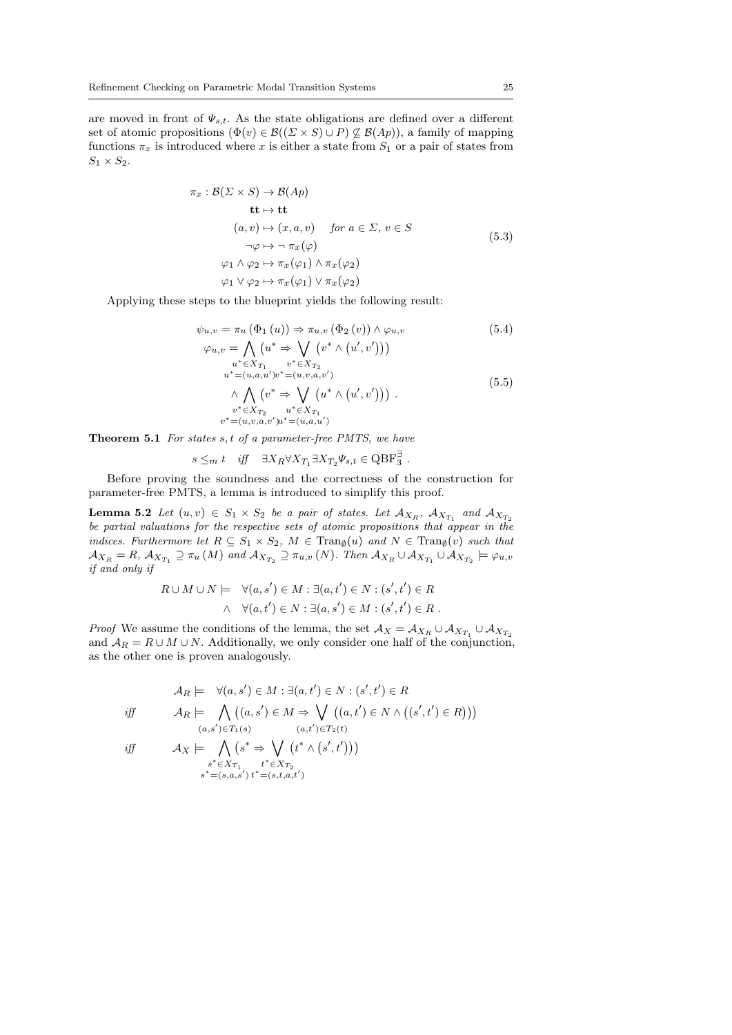are moved in front of  $\Psi_{s,t}$ . As the state obligations are defined over a different set of atomic propositions  $(\Phi(v) \in \mathcal{B}((\Sigma \times S) \cup P) \not\subseteq \mathcal{B}(Ap))$ , a family of mapping functions  $\pi_x$  is introduced where x is either a state from  $S_1$  or a pair of states from  $S_1 \times S_2$ .

$$
\pi_x : \mathcal{B}(\Sigma \times S) \to \mathcal{B}(Ap) \n\mathbf{t}t \mapsto \mathbf{t}t \n(a, v) \mapsto (x, a, v) \quad \text{for } a \in \Sigma, v \in S \n\neg \varphi \mapsto \neg \pi_x(\varphi) \n\varphi_1 \wedge \varphi_2 \mapsto \pi_x(\varphi_1) \wedge \pi_x(\varphi_2) \n\varphi_1 \vee \varphi_2 \mapsto \pi_x(\varphi_1) \vee \pi_x(\varphi_2)
$$
\n(5.3)

Applying these steps to the blueprint yields the following result:

<span id="page-24-2"></span>
$$
\psi_{u,v} = \pi_u (\Phi_1 (u)) \Rightarrow \pi_{u,v} (\Phi_2 (v)) \wedge \varphi_{u,v}
$$
\n
$$
\varphi_{u,v} = \bigwedge_{u^* \in X_{T_1}} (u^* \Rightarrow \bigvee_{v^* \in X_{T_2}} (v^* \wedge (u', v')))
$$
\n
$$
u^* \in X_{T_1} \qquad v^* \in X_{T_2}
$$
\n
$$
u^* = (u, a, u')v^* = (u, v, a, v')
$$
\n
$$
\wedge \bigwedge_{v^* \in X_{T_2}} (v^* \Rightarrow \bigvee_{u^* \in X_{T_1}} (u^* \wedge (u', v'))).
$$
\n
$$
(5.5)
$$
\n
$$
v^* \in X_{T_2} \qquad u^* \in X_{T_1}
$$
\n
$$
v^* = (u, v, a, v')u^* = (u, a, u')
$$

<span id="page-24-3"></span><span id="page-24-0"></span>**Theorem 5.1** For states  $s, t$  of a parameter-free PMTS, we have

$$
s \leq_m t
$$
 iff  $\exists X_R \forall X_{T_1} \exists X_{T_2} \Psi_{s,t} \in \text{QBF}_3^{\exists}$ .

Before proving the soundness and the correctness of the construction for parameter-free PMTS, a lemma is introduced to simplify this proof.

<span id="page-24-1"></span>**Lemma 5.2** Let  $(u, v) \in S_1 \times S_2$  be a pair of states. Let  $\mathcal{A}_{X_R}$ ,  $\mathcal{A}_{X_{T_1}}$  and  $\mathcal{A}_{X_{T_2}}$ be partial valuations for the respective sets of atomic propositions that appear in the indices. Furthermore let  $R \subseteq S_1 \times S_2$ ,  $M \in \text{Tran}_{\emptyset}(u)$  and  $N \in \text{Tran}_{\emptyset}(v)$  such that  $\mathcal{A}_{X_R} = R$ ,  $\mathcal{A}_{X_{T_1}} \supseteq \pi_u(M)$  and  $\mathcal{A}_{X_{T_2}} \supseteq \pi_{u,v}(N)$ . Then  $\mathcal{A}_{X_R} \cup \mathcal{A}_{X_{T_1}} \cup \mathcal{A}_{X_{T_2}} \models \varphi_{u,v}$ if and only if

$$
R \cup M \cup N \models \forall (a, s') \in M : \exists (a, t') \in N : (s', t') \in R
$$
  
 
$$
\land \forall (a, t') \in N : \exists (a, s') \in M : (s', t') \in R.
$$

*Proof* We assume the conditions of the lemma, the set  $\mathcal{A}_X = \mathcal{A}_{X_R} \cup \mathcal{A}_{X_{T_1}} \cup \mathcal{A}_{X_{T_2}}$ and  $A_R = R \cup M \cup N$ . Additionally, we only consider one half of the conjunction, as the other one is proven analogously.

$$
\mathcal{A}_R \models \forall (a, s') \in M : \exists (a, t') \in N : (s', t') \in R
$$
  
iff
$$
\mathcal{A}_R \models \bigwedge_{(a, s') \in T_1(s)} ((a, s') \in M \Rightarrow \bigvee_{(a, t') \in T_2(t)} ((a, t') \in N \land ((s', t') \in R)))
$$
  
iff
$$
\mathcal{A}_X \models \bigwedge_{(s^* \Rightarrow \bigvee_{(a, t') \in T_2(t)} (t^* \land (s', t')))}
$$

$$
\mathit{iff}
$$

s <sup>∗</sup>∈XT<sup>1</sup> s <sup>∗</sup>=(s,a,s<sup>0</sup> ) t <sup>∗</sup>=(s,t,a,t<sup>0</sup> ) t <sup>∗</sup>∈XT<sup>2</sup>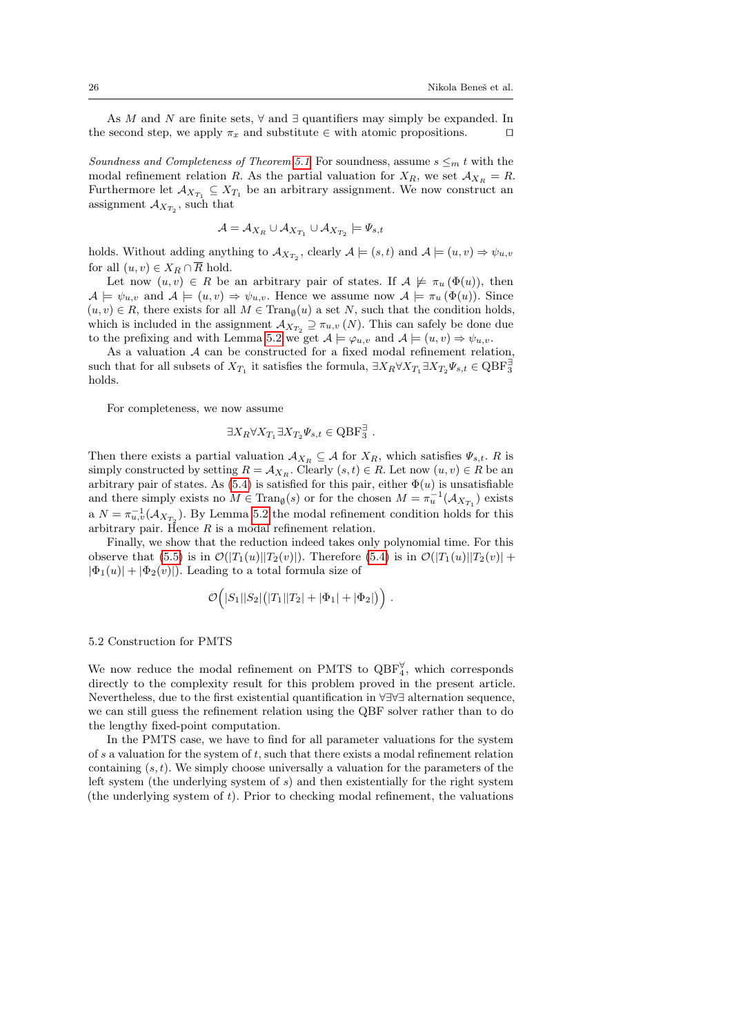As M and N are finite sets,  $\forall$  and  $\exists$  quantifiers may simply be expanded. In the second step, we apply  $\pi_x$  and substitute  $\in$  with atomic propositions.  $\square$ 

Soundness and Completeness of Theorem [5.1](#page-24-0) For soundness, assume  $s \leq_m t$  with the modal refinement relation R. As the partial valuation for  $X_R$ , we set  $\mathcal{A}_{X_R} = R$ . Furthermore let  $\mathcal{A}_{X_{T_1}} \subseteq X_{T_1}$  be an arbitrary assignment. We now construct an assignment  $A_{X_{T_2}}$ , such that

$$
\mathcal{A} = \mathcal{A}_{X_R} \cup \mathcal{A}_{X_{T_1}} \cup \mathcal{A}_{X_{T_2}} \models \varPsi_{s,t}
$$

holds. Without adding anything to  $\mathcal{A}_{X_{T_2}}$ , clearly  $\mathcal{A} \models (s, t)$  and  $\mathcal{A} \models (u, v) \Rightarrow \psi_{u, v}$ for all  $(u, v) \in X_R \cap \overline{R}$  hold.

Let now  $(u, v) \in R$  be an arbitrary pair of states. If  $A \not\models \pi_u (\Phi(u))$ , then  $A \models \psi_{u,v}$  and  $A \models (u, v) \Rightarrow \psi_{u,v}$ . Hence we assume now  $A \models \pi_u(\Phi(u))$ . Since  $(u, v) \in R$ , there exists for all  $M \in \text{Tran}_{\emptyset}(u)$  a set N, such that the condition holds, which is included in the assignment  $\mathcal{A}_{X_{T_2}} \supseteq \pi_{u,v}(N)$ . This can safely be done due to the prefixing and with Lemma [5.2](#page-24-1) we get  $A \models \varphi_{u,v}$  and  $A \models (u, v) \Rightarrow \psi_{u,v}$ .

As a valuation A can be constructed for a fixed modal refinement relation, such that for all subsets of  $X_{T_1}$  it satisfies the formula,  $\exists X_R \forall X_{T_1} \exists X_{T_2} \Psi_{s,t} \in \text{QBF}_3^{\exists}$ holds.

For completeness, we now assume

$$
\exists X_R \forall X_{T_1} \exists X_{T_2} \Psi_{s,t} \in \mathrm{QBF}_3^{\exists} .
$$

Then there exists a partial valuation  $\mathcal{A}_{X_R} \subseteq \mathcal{A}$  for  $X_R$ , which satisfies  $\Psi_{s,t}$ . R is simply constructed by setting  $R = A_{X_R}$ . Clearly  $(s, t) \in R$ . Let now  $(u, v) \in R$  be an arbitrary pair of states. As [\(5.4\)](#page-24-2) is satisfied for this pair, either  $\Phi(u)$  is unsatisfiable and there simply exists no  $M \in \text{Tran}_{\emptyset}(s)$  or for the chosen  $M = \pi_u^{-1}(\mathcal{A}_{X_{T_1}})$  exists a  $N = \pi_{u,v}^{-1}(\mathcal{A}_{X_{T_2}})$ . By Lemma [5.2](#page-24-1) the modal refinement condition holds for this arbitrary pair. Hence  $R$  is a modal refinement relation.

Finally, we show that the reduction indeed takes only polynomial time. For this observe that [\(5.5\)](#page-24-3) is in  $\mathcal{O}(|T_1(u)||T_2(v)|)$ . Therefore [\(5.4\)](#page-24-2) is in  $\mathcal{O}(|T_1(u)||T_2(v)| +$  $|\Phi_1(u)| + |\Phi_2(v)|$ . Leading to a total formula size of

$$
\mathcal{O}(|S_1||S_2|(|T_1||T_2|+|\Phi_1|+|\Phi_2|)\Big)\ .
$$

### 5.2 Construction for PMTS

We now reduce the modal refinement on PMTS to  $QBF_4^{\forall}$ , which corresponds directly to the complexity result for this problem proved in the present article. Nevertheless, due to the first existential quantification in ∀∃∀∃ alternation sequence, we can still guess the refinement relation using the QBF solver rather than to do the lengthy fixed-point computation.

In the PMTS case, we have to find for all parameter valuations for the system of s a valuation for the system of t, such that there exists a modal refinement relation containing  $(s, t)$ . We simply choose universally a valuation for the parameters of the left system (the underlying system of s) and then existentially for the right system (the underlying system of t). Prior to checking modal refinement, the valuations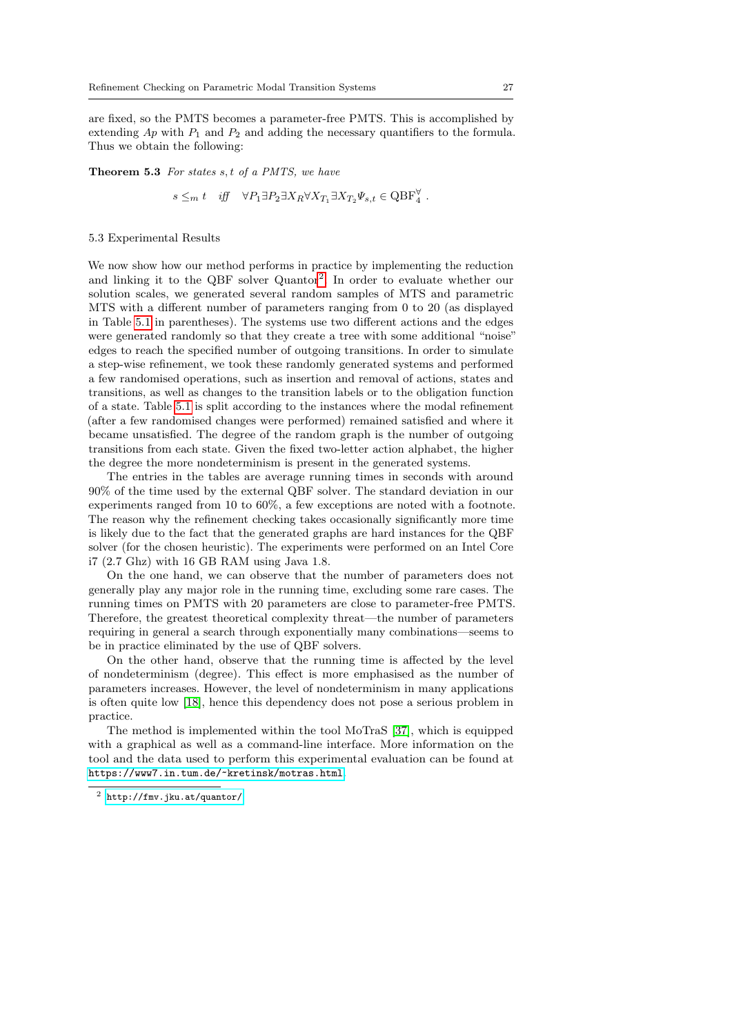are fixed, so the PMTS becomes a parameter-free PMTS. This is accomplished by extending  $Ap$  with  $P_1$  and  $P_2$  and adding the necessary quantifiers to the formula. Thus we obtain the following:

Theorem 5.3 For states s, t of a PMTS, we have

$$
s \leq_m t \quad \text{iff} \quad \forall P_1 \exists P_2 \exists X_R \forall X_{T_1} \exists X_{T_2} \Psi_{s,t} \in \text{QBF}_4^{\forall}.
$$

### 5.3 Experimental Results

We now show how our method performs in practice by implementing the reduction and linking it to the QBF solver Quantor<sup>[2](#page-26-0)</sup>. In order to evaluate whether our solution scales, we generated several random samples of MTS and parametric MTS with a different number of parameters ranging from 0 to 20 (as displayed in Table [5.1](#page-27-0) in parentheses). The systems use two different actions and the edges were generated randomly so that they create a tree with some additional "noise" edges to reach the specified number of outgoing transitions. In order to simulate a step-wise refinement, we took these randomly generated systems and performed a few randomised operations, such as insertion and removal of actions, states and transitions, as well as changes to the transition labels or to the obligation function of a state. Table [5.1](#page-27-0) is split according to the instances where the modal refinement (after a few randomised changes were performed) remained satisfied and where it became unsatisfied. The degree of the random graph is the number of outgoing transitions from each state. Given the fixed two-letter action alphabet, the higher the degree the more nondeterminism is present in the generated systems.

The entries in the tables are average running times in seconds with around 90% of the time used by the external QBF solver. The standard deviation in our experiments ranged from 10 to 60%, a few exceptions are noted with a footnote. The reason why the refinement checking takes occasionally significantly more time is likely due to the fact that the generated graphs are hard instances for the QBF solver (for the chosen heuristic). The experiments were performed on an Intel Core i7 (2.7 Ghz) with 16 GB RAM using Java 1.8.

On the one hand, we can observe that the number of parameters does not generally play any major role in the running time, excluding some rare cases. The running times on PMTS with 20 parameters are close to parameter-free PMTS. Therefore, the greatest theoretical complexity threat—the number of parameters requiring in general a search through exponentially many combinations—seems to be in practice eliminated by the use of QBF solvers.

On the other hand, observe that the running time is affected by the level of nondeterminism (degree). This effect is more emphasised as the number of parameters increases. However, the level of nondeterminism in many applications is often quite low [\[18\]](#page-29-17), hence this dependency does not pose a serious problem in practice.

The method is implemented within the tool MoTraS [\[37\]](#page-30-18), which is equipped with a graphical as well as a command-line interface. More information on the tool and the data used to perform this experimental evaluation can be found at <https://www7.in.tum.de/~kretinsk/motras.html>.

<span id="page-26-0"></span><sup>2</sup> <http://fmv.jku.at/quantor/>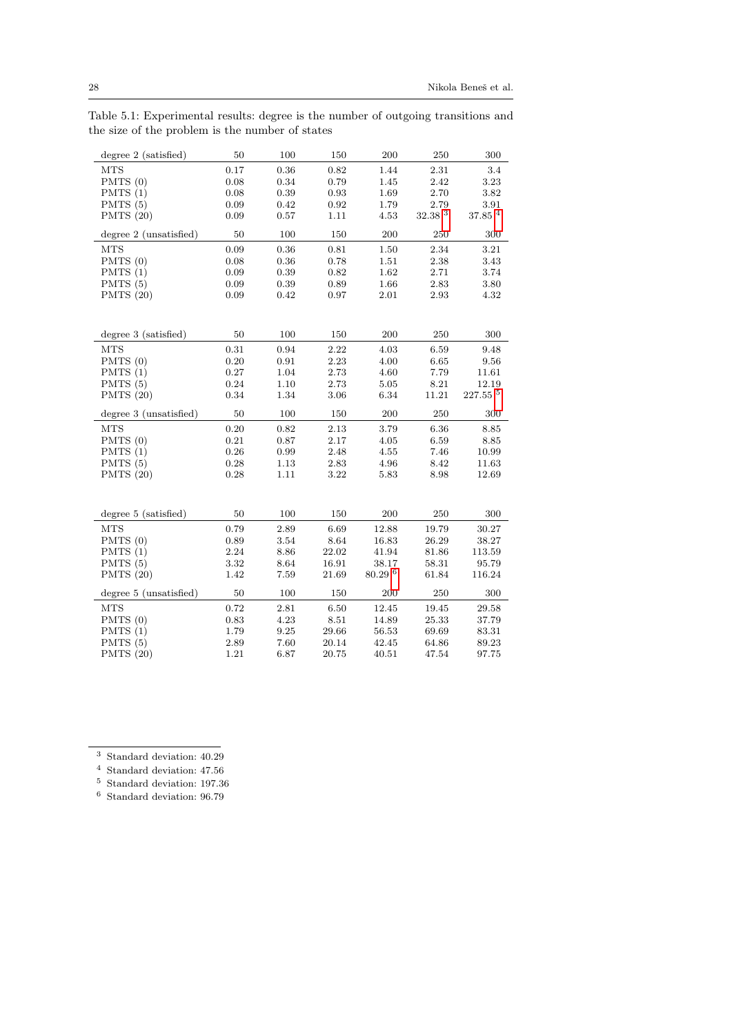<span id="page-27-0"></span>Table 5.1: Experimental results: degree is the number of outgoing transitions and the size of the problem is the number of states

| $degree 2$ (satisfied)   | 50           | 100          | 150          | 200                 | 250                | 300                  |
|--------------------------|--------------|--------------|--------------|---------------------|--------------------|----------------------|
| <b>MTS</b>               | 0.17         | 0.36         | 0.82         | 1.44                | 2.31               | 3.4                  |
| PMTS $(0)$               | 0.08         | 0.34         | 0.79         | 1.45                | 2.42               | 3.23                 |
| PMTS $(1)$               | 0.08         | 0.39         | 0.93         | 1.69                | 2.70               | 3.82                 |
| PMTS $(5)$               | 0.09         | 0.42         | 0.92         | 1.79                | 2.79               | 3.91                 |
| PMTS $(20)$              | 0.09         | 0.57         | 1.11         | 4.53                | 32.38 <sup>3</sup> | $37.85$ <sup>4</sup> |
| degree 2 (unsatisfied)   | 50           | 100          | 150          | 200                 | 250                | 300                  |
| <b>MTS</b>               | 0.09         | 0.36         | 0.81         | 1.50                | 2.34               | 3.21                 |
| PMTS $(0)$               | 0.08         | 0.36         | 0.78         | 1.51                | 2.38               | 3.43                 |
| PMTS(1)                  | 0.09         | 0.39         | 0.82         | 1.62                | 2.71               | 3.74                 |
| PMTS $(5)$               | 0.09         | 0.39         | 0.89         | 1.66                | 2.83               | 3.80                 |
| PMTS $(20)$              | 0.09         | 0.42         | 0.97         | 2.01                | 2.93               | 4.32                 |
|                          |              |              |              |                     |                    |                      |
| degree 3 (satisfied)     | 50           | 100          | 150          | 200                 | 250                | 300                  |
| <b>MTS</b>               | 0.31         | 0.94         | 2.22         | 4.03                | 6.59               | 9.48                 |
| PMTS(0)                  | $0.20\,$     | 0.91         | 2.23         | 4.00                | 6.65               | 9.56                 |
| PMTS $(1)$               | 0.27         | 1.04         | 2.73         | 4.60                | 7.79               | 11.61                |
| PMTS $(5)$               | 0.24         | 1.10         | 2.73         | 5.05                | 8.21               | 12.19                |
| PMTS $(20)$              | 0.34         | 1.34         | 3.06         | 6.34                | 11.21              | $227.55~^{5}$        |
| degree 3 (unsatisfied)   | 50           | 100          | 150          | 200                 | 250                | 300                  |
| <b>MTS</b>               | 0.20         | 0.82         | 2.13         | 3.79                | 6.36               | 8.85                 |
| PMTS(0)                  | 0.21         | 0.87         | 2.17         | 4.05                | 6.59               | 8.85                 |
|                          |              |              | 2.48         | 4.55                | 7.46               | 10.99                |
|                          |              |              |              |                     |                    |                      |
| PMTS $(1)$<br>PMTS $(5)$ | 0.26<br>0.28 | 0.99<br>1.13 | 2.83         | 4.96                | 8.42               | 11.63                |
|                          | 0.28         | 1.11         | 3.22         | 5.83                | 8.98               | 12.69                |
| PMTS $(20)$              |              |              |              |                     |                    |                      |
| $degree 5$ (satisfied)   | 50           | 100          | 150          | 200                 | 250                | 300                  |
|                          |              |              |              |                     |                    |                      |
| <b>MTS</b><br>PMTS(0)    | 0.79<br>0.89 | 2.89<br>3.54 | 6.69<br>8.64 | 12.88<br>16.83      | 19.79<br>26.29     | 30.27<br>38.27       |
|                          | 2.24         | 8.86         | 22.02        | 41.94               | 81.86              | 113.59               |
| PMTS $(1)$               | 3.32         | 8.64         | 16.91        | 38.17               | 58.31              | 95.79                |
| PMTS (5)<br>PMTS $(20)$  | 1.42         | 7.59         | 21.69        | $80.29\text{ }^{6}$ | 61.84              | 116.24               |
| degree 5 (unsatisfied)   | 50           | 100          | 150          | 200                 | 250                | 300                  |
| <b>MTS</b>               | 0.72         | 2.81         | 6.50         | 12.45               | 19.45              | 29.58                |
| PMTS(0)                  | 0.83         | 4.23         | 8.51         | 14.89               | 25.33              | 37.79                |
| PMTS $(1)$               | 1.79         | 9.25         | 29.66        | 56.53               | 69.69              | 83.31                |
| PMTS $(5)$               | 2.89         | 7.60         | 20.14        | 42.45               | 64.86              | 89.23                |

<span id="page-27-1"></span><sup>3</sup> Standard deviation: 40.29

<span id="page-27-2"></span><sup>4</sup> Standard deviation: 47.56

<span id="page-27-3"></span><sup>5</sup> Standard deviation: 197.36

<span id="page-27-4"></span><sup>6</sup> Standard deviation: 96.79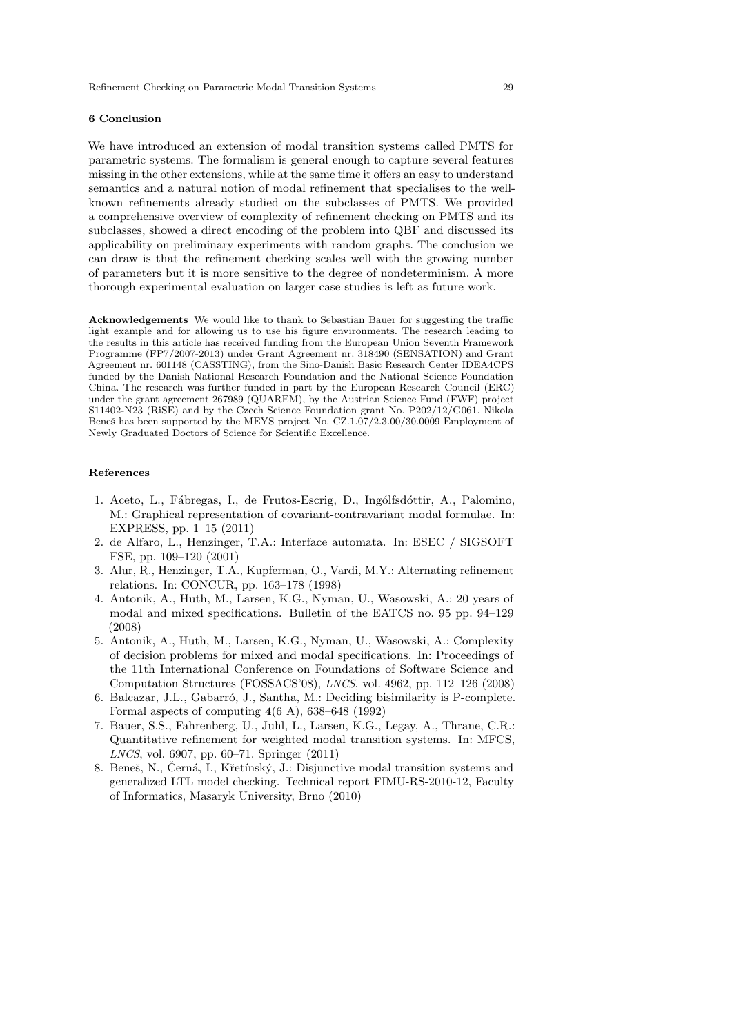#### 6 Conclusion

We have introduced an extension of modal transition systems called PMTS for parametric systems. The formalism is general enough to capture several features missing in the other extensions, while at the same time it offers an easy to understand semantics and a natural notion of modal refinement that specialises to the wellknown refinements already studied on the subclasses of PMTS. We provided a comprehensive overview of complexity of refinement checking on PMTS and its subclasses, showed a direct encoding of the problem into QBF and discussed its applicability on preliminary experiments with random graphs. The conclusion we can draw is that the refinement checking scales well with the growing number of parameters but it is more sensitive to the degree of nondeterminism. A more thorough experimental evaluation on larger case studies is left as future work.

Acknowledgements We would like to thank to Sebastian Bauer for suggesting the traffic light example and for allowing us to use his figure environments. The research leading to the results in this article has received funding from the European Union Seventh Framework Programme (FP7/2007-2013) under Grant Agreement nr. 318490 (SENSATION) and Grant Agreement nr. 601148 (CASSTING), from the Sino-Danish Basic Research Center IDEA4CPS funded by the Danish National Research Foundation and the National Science Foundation China. The research was further funded in part by the European Research Council (ERC) under the grant agreement 267989 (QUAREM), by the Austrian Science Fund (FWF) project S11402-N23 (RiSE) and by the Czech Science Foundation grant No. P202/12/G061. Nikola Beneš has been supported by the MEYS project No. CZ.1.07/2.3.00/30.0009 Employment of Newly Graduated Doctors of Science for Scientific Excellence.

#### References

- <span id="page-28-4"></span>1. Aceto, L., Fábregas, I., de Frutos-Escrig, D., Ingólfsdóttir, A., Palomino, M.: Graphical representation of covariant-contravariant modal formulae. In: EXPRESS, pp. 1–15 (2011)
- <span id="page-28-1"></span>2. de Alfaro, L., Henzinger, T.A.: Interface automata. In: ESEC / SIGSOFT FSE, pp. 109–120 (2001)
- <span id="page-28-2"></span>3. Alur, R., Henzinger, T.A., Kupferman, O., Vardi, M.Y.: Alternating refinement relations. In: CONCUR, pp. 163–178 (1998)
- <span id="page-28-0"></span>4. Antonik, A., Huth, M., Larsen, K.G., Nyman, U., Wasowski, A.: 20 years of modal and mixed specifications. Bulletin of the EATCS no. 95 pp. 94–129 (2008)
- <span id="page-28-5"></span>5. Antonik, A., Huth, M., Larsen, K.G., Nyman, U., Wasowski, A.: Complexity of decision problems for mixed and modal specifications. In: Proceedings of the 11th International Conference on Foundations of Software Science and Computation Structures (FOSSACS'08), LNCS, vol. 4962, pp. 112–126 (2008)
- <span id="page-28-7"></span>6. Balcazar, J.L., Gabarró, J., Santha, M.: Deciding bisimilarity is P-complete. Formal aspects of computing  $4(6 \text{ A})$ , 638–648 (1992)
- <span id="page-28-3"></span>7. Bauer, S.S., Fahrenberg, U., Juhl, L., Larsen, K.G., Legay, A., Thrane, C.R.: Quantitative refinement for weighted modal transition systems. In: MFCS, LNCS, vol. 6907, pp. 60–71. Springer (2011)
- <span id="page-28-6"></span>8. Beneš, N., Černá, I., Křetínský, J.: Disjunctive modal transition systems and generalized LTL model checking. Technical report FIMU-RS-2010-12, Faculty of Informatics, Masaryk University, Brno (2010)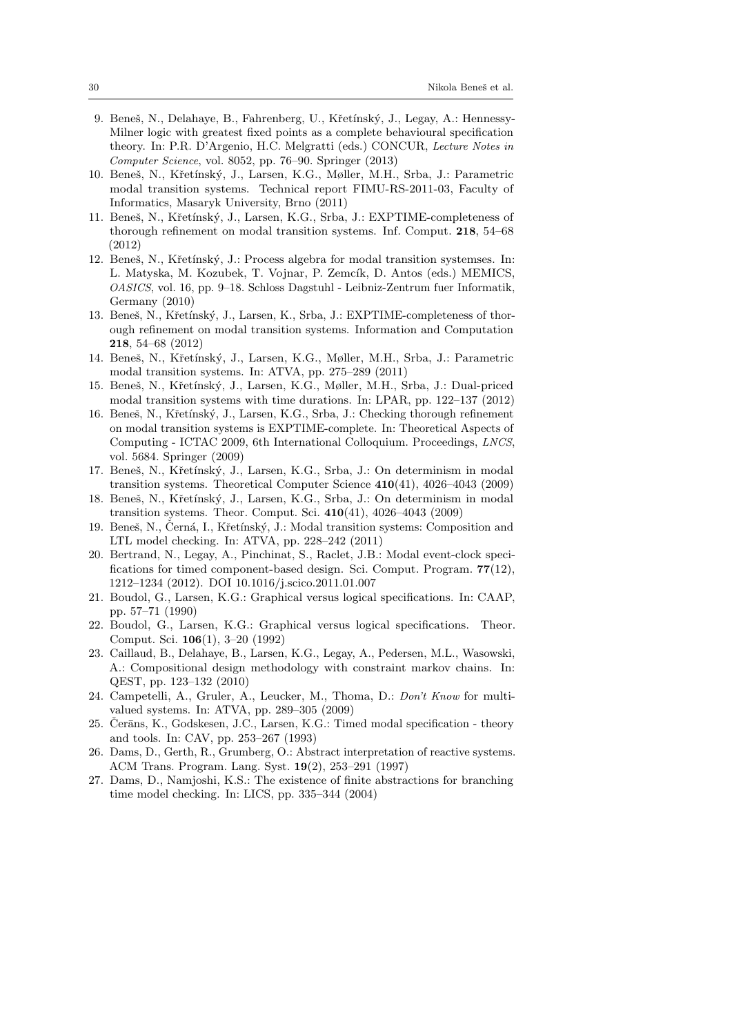- <span id="page-29-0"></span>9. Beneš, N., Delahaye, B., Fahrenberg, U., Křetínský, J., Legay, A.: Hennessy-Milner logic with greatest fixed points as a complete behavioural specification theory. In: P.R. D'Argenio, H.C. Melgratti (eds.) CONCUR, Lecture Notes in Computer Science, vol. 8052, pp. 76–90. Springer (2013)
- <span id="page-29-3"></span>10. Beneš, N., Křetínský, J., Larsen, K.G., Møller, M.H., Srba, J.: Parametric modal transition systems. Technical report FIMU-RS-2011-03, Faculty of Informatics, Masaryk University, Brno (2011)
- <span id="page-29-18"></span>11. Beneš, N., Křetínský, J., Larsen, K.G., Srba, J.: EXPTIME-completeness of thorough refinement on modal transition systems. Inf. Comput. 218, 54–68 (2012)
- <span id="page-29-2"></span>12. Beneš, N., Křetínský, J.: Process algebra for modal transition systemses. In: L. Matyska, M. Kozubek, T. Vojnar, P. Zemcík, D. Antos (eds.) MEMICS, OASICS, vol. 16, pp. 9–18. Schloss Dagstuhl - Leibniz-Zentrum fuer Informatik, Germany (2010)
- <span id="page-29-14"></span>13. Beneš, N., Křetínský, J., Larsen, K., Srba, J.: EXPTIME-completeness of thorough refinement on modal transition systems. Information and Computation 218, 54–68 (2012)
- <span id="page-29-13"></span>14. Beneš, N., Křetínský, J., Larsen, K.G., Møller, M.H., Srba, J.: Parametric modal transition systems. In: ATVA, pp. 275–289 (2011)
- <span id="page-29-5"></span>15. Beneˇs, N., Kˇret´ınsk´y, J., Larsen, K.G., Møller, M.H., Srba, J.: Dual-priced modal transition systems with time durations. In: LPAR, pp. 122–137 (2012)
- <span id="page-29-15"></span>16. Beneš, N., Křetínský, J., Larsen, K.G., Srba, J.: Checking thorough refinement on modal transition systems is EXPTIME-complete. In: Theoretical Aspects of Computing - ICTAC 2009, 6th International Colloquium. Proceedings, LNCS, vol. 5684. Springer (2009)
- <span id="page-29-16"></span>17. Beneš, N., Křetínský, J., Larsen, K.G., Srba, J.: On determinism in modal transition systems. Theoretical Computer Science 410(41), 4026–4043 (2009)
- <span id="page-29-17"></span>18. Beneš, N., Křetínský, J., Larsen, K.G., Srba, J.: On determinism in modal transition systems. Theor. Comput. Sci. 410(41), 4026–4043 (2009)
- <span id="page-29-4"></span>19. Beneš, N., Černá, I., Křetínský, J.: Modal transition systems: Composition and LTL model checking. In: ATVA, pp. 228–242 (2011)
- <span id="page-29-10"></span>20. Bertrand, N., Legay, A., Pinchinat, S., Raclet, J.B.: Modal event-clock specifications for timed component-based design. Sci. Comput. Program. 77(12), 1212–1234 (2012). DOI 10.1016/j.scico.2011.01.007
- <span id="page-29-12"></span>21. Boudol, G., Larsen, K.G.: Graphical versus logical specifications. In: CAAP, pp. 57–71 (1990)
- <span id="page-29-1"></span>22. Boudol, G., Larsen, K.G.: Graphical versus logical specifications. Theor. Comput. Sci. 106(1), 3–20 (1992)
- <span id="page-29-9"></span>23. Caillaud, B., Delahaye, B., Larsen, K.G., Legay, A., Pedersen, M.L., Wasowski, A.: Compositional design methodology with constraint markov chains. In: QEST, pp. 123–132 (2010)
- <span id="page-29-6"></span>24. Campetelli, A., Gruler, A., Leucker, M., Thoma, D.: Don't Know for multivalued systems. In: ATVA, pp. 289–305 (2009)
- <span id="page-29-11"></span>25. Čerāns, K., Godskesen, J.C., Larsen, K.G.: Timed modal specification - theory and tools. In: CAV, pp. 253–267 (1993)
- <span id="page-29-7"></span>26. Dams, D., Gerth, R., Grumberg, O.: Abstract interpretation of reactive systems. ACM Trans. Program. Lang. Syst. 19(2), 253–291 (1997)
- <span id="page-29-8"></span>27. Dams, D., Namjoshi, K.S.: The existence of finite abstractions for branching time model checking. In: LICS, pp. 335–344 (2004)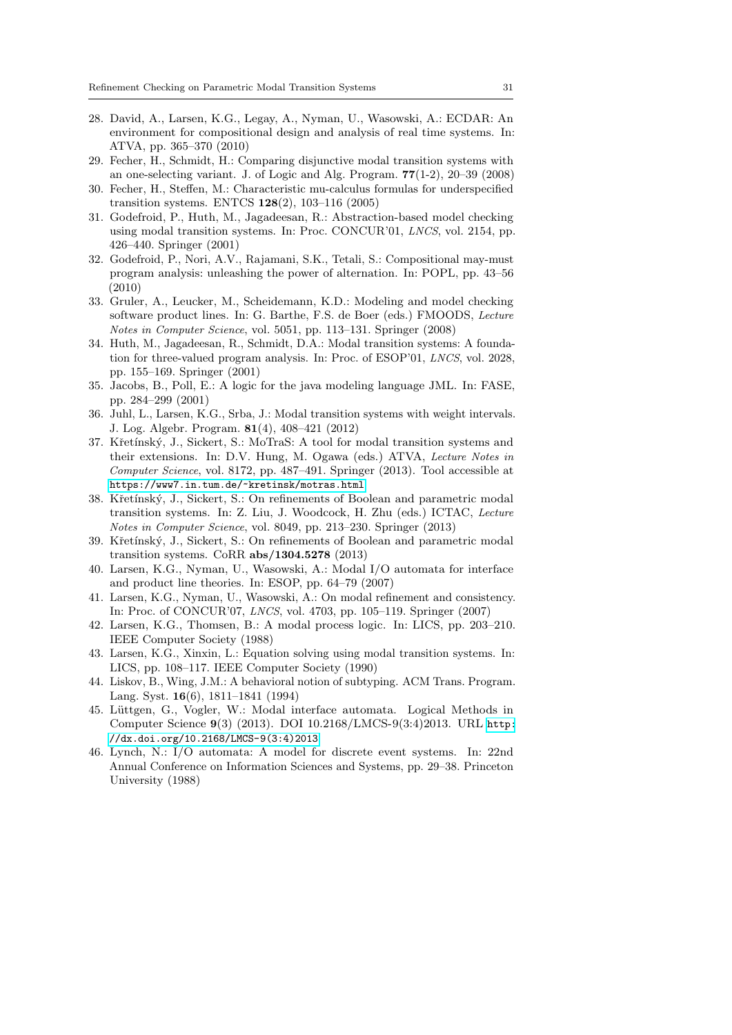- <span id="page-30-14"></span>28. David, A., Larsen, K.G., Legay, A., Nyman, U., Wasowski, A.: ECDAR: An environment for compositional design and analysis of real time systems. In: ATVA, pp. 365–370 (2010)
- <span id="page-30-2"></span>29. Fecher, H., Schmidt, H.: Comparing disjunctive modal transition systems with an one-selecting variant. J. of Logic and Alg. Program. 77(1-2), 20–39 (2008)
- <span id="page-30-7"></span>30. Fecher, H., Steffen, M.: Characteristic mu-calculus formulas for underspecified transition systems. ENTCS 128(2), 103–116 (2005)
- <span id="page-30-5"></span>31. Godefroid, P., Huth, M., Jagadeesan, R.: Abstraction-based model checking using modal transition systems. In: Proc. CONCUR'01, LNCS, vol. 2154, pp. 426–440. Springer (2001)
- <span id="page-30-13"></span>32. Godefroid, P., Nori, A.V., Rajamani, S.K., Tetali, S.: Compositional may-must program analysis: unleashing the power of alternation. In: POPL, pp. 43–56 (2010)
- <span id="page-30-3"></span>33. Gruler, A., Leucker, M., Scheidemann, K.D.: Modeling and model checking software product lines. In: G. Barthe, F.S. de Boer (eds.) FMOODS, Lecture Notes in Computer Science, vol. 5051, pp. 113–131. Springer (2008)
- <span id="page-30-6"></span>34. Huth, M., Jagadeesan, R., Schmidt, D.A.: Modal transition systems: A foundation for three-valued program analysis. In: Proc. of ESOP'01, LNCS, vol. 2028, pp. 155–169. Springer (2001)
- <span id="page-30-9"></span>35. Jacobs, B., Poll, E.: A logic for the java modeling language JML. In: FASE, pp. 284–299 (2001)
- <span id="page-30-15"></span>36. Juhl, L., Larsen, K.G., Srba, J.: Modal transition systems with weight intervals. J. Log. Algebr. Program. 81(4), 408–421 (2012)
- <span id="page-30-18"></span>37. Křetínský, J., Sickert, S.: MoTraS: A tool for modal transition systems and their extensions. In: D.V. Hung, M. Ogawa (eds.) ATVA, Lecture Notes in Computer Science, vol. 8172, pp. 487–491. Springer (2013). Tool accessible at <https://www7.in.tum.de/~kretinsk/motras.html>
- <span id="page-30-16"></span>38. Křetínský, J., Sickert, S.: On refinements of Boolean and parametric modal transition systems. In: Z. Liu, J. Woodcock, H. Zhu (eds.) ICTAC, Lecture Notes in Computer Science, vol. 8049, pp. 213–230. Springer (2013)
- <span id="page-30-17"></span>39. Křetínský, J., Sickert, S.: On refinements of Boolean and parametric modal transition systems. CoRR abs/1304.5278 (2013)
- <span id="page-30-11"></span>40. Larsen, K.G., Nyman, U., Wasowski, A.: Modal I/O automata for interface and product line theories. In: ESOP, pp. 64–79 (2007)
- <span id="page-30-4"></span>41. Larsen, K.G., Nyman, U., Wasowski, A.: On modal refinement and consistency. In: Proc. of CONCUR'07, LNCS, vol. 4703, pp. 105–119. Springer (2007)
- <span id="page-30-0"></span>42. Larsen, K.G., Thomsen, B.: A modal process logic. In: LICS, pp. 203–210. IEEE Computer Society (1988)
- <span id="page-30-1"></span>43. Larsen, K.G., Xinxin, L.: Equation solving using modal transition systems. In: LICS, pp. 108–117. IEEE Computer Society (1990)
- <span id="page-30-8"></span>44. Liskov, B., Wing, J.M.: A behavioral notion of subtyping. ACM Trans. Program. Lang. Syst. 16(6), 1811–1841 (1994)
- <span id="page-30-10"></span>45. Lüttgen, G., Vogler, W.: Modal interface automata. Logical Methods in Computer Science 9(3) (2013). DOI 10.2168/LMCS-9(3:4)2013. URL [http:](http://dx.doi.org/10.2168/LMCS-9(3:4)2013) [//dx.doi.org/10.2168/LMCS-9\(3:4\)2013](http://dx.doi.org/10.2168/LMCS-9(3:4)2013)
- <span id="page-30-12"></span>46. Lynch, N.: I/O automata: A model for discrete event systems. In: 22nd Annual Conference on Information Sciences and Systems, pp. 29–38. Princeton University (1988)